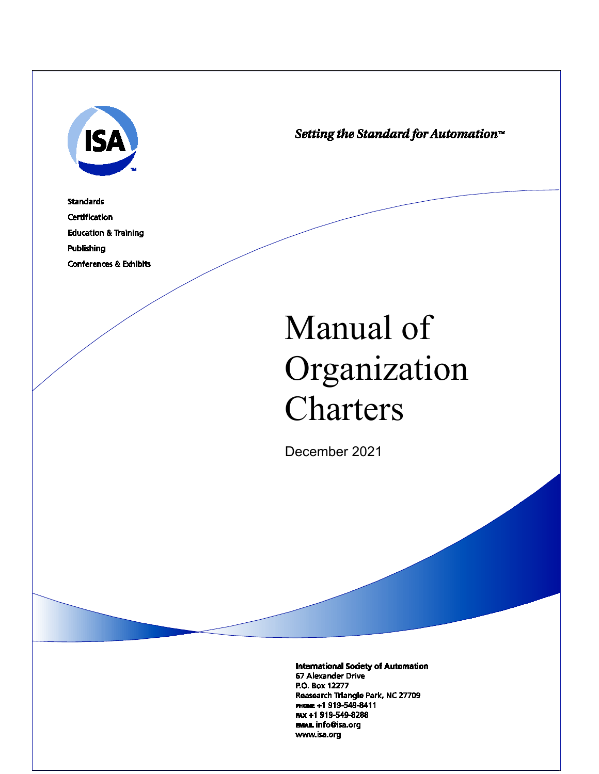

Setting the Standard for Automation™

**Standards Certification Education & Training** Publishing **Conferences & Exhibits** 

# Manual of Organization **Charters**

December 2021

**International Society of Automation** 67 Alexander Drive P.O. Box 12277 Reasearch Triangle Park, NC 27709 PHONE +1 919-549-8411 FAX +1 919-549-8288 **EMAIL info@isa.org** www.isa.org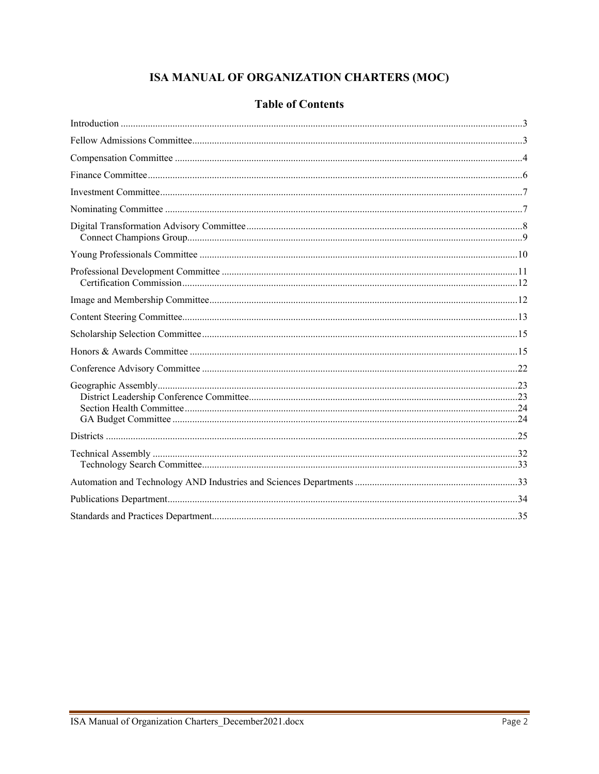# ISA MANUAL OF ORGANIZATION CHARTERS (MOC)

|  | <b>Table of Contents</b> |
|--|--------------------------|
|  |                          |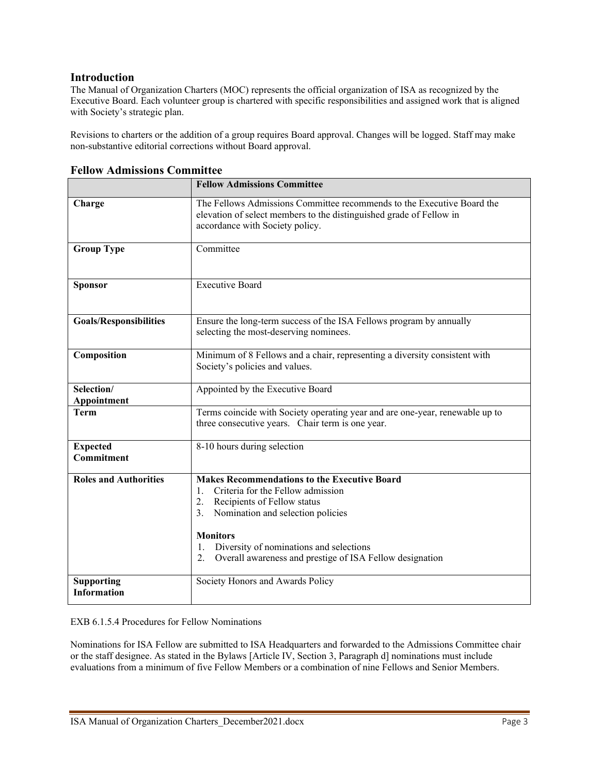#### <span id="page-2-0"></span>**Introduction**

The Manual of Organization Charters (MOC) represents the official organization of ISA as recognized by the Executive Board. Each volunteer group is chartered with specific responsibilities and assigned work that is aligned with Society's strategic plan.

Revisions to charters or the addition of a group requires Board approval. Changes will be logged. Staff may make non-substantive editorial corrections without Board approval.

|                                         | <b>Fellow Admissions Committee</b>                                                                                                                                               |
|-----------------------------------------|----------------------------------------------------------------------------------------------------------------------------------------------------------------------------------|
| Charge                                  | The Fellows Admissions Committee recommends to the Executive Board the<br>elevation of select members to the distinguished grade of Fellow in<br>accordance with Society policy. |
| <b>Group Type</b>                       | Committee                                                                                                                                                                        |
| <b>Sponsor</b>                          | <b>Executive Board</b>                                                                                                                                                           |
| <b>Goals/Responsibilities</b>           | Ensure the long-term success of the ISA Fellows program by annually<br>selecting the most-deserving nominees.                                                                    |
| Composition                             | Minimum of 8 Fellows and a chair, representing a diversity consistent with<br>Society's policies and values.                                                                     |
| Selection/<br>Appointment               | Appointed by the Executive Board                                                                                                                                                 |
| <b>Term</b>                             | Terms coincide with Society operating year and are one-year, renewable up to<br>three consecutive years. Chair term is one year.                                                 |
| <b>Expected</b><br>Commitment           | 8-10 hours during selection                                                                                                                                                      |
| <b>Roles and Authorities</b>            | <b>Makes Recommendations to the Executive Board</b><br>Criteria for the Fellow admission<br>1.                                                                                   |
|                                         | 2.<br>Recipients of Fellow status                                                                                                                                                |
|                                         | 3.<br>Nomination and selection policies                                                                                                                                          |
|                                         | <b>Monitors</b>                                                                                                                                                                  |
|                                         | Diversity of nominations and selections<br>1.                                                                                                                                    |
|                                         | Overall awareness and prestige of ISA Fellow designation<br>2.                                                                                                                   |
| <b>Supporting</b><br><b>Information</b> | Society Honors and Awards Policy                                                                                                                                                 |

#### <span id="page-2-1"></span>**Fellow Admissions Committee**

EXB 6.1.5.4 Procedures for Fellow Nominations

Nominations for ISA Fellow are submitted to ISA Headquarters and forwarded to the Admissions Committee chair or the staff designee. As stated in the Bylaws [Article IV, Section 3, Paragraph d] nominations must include evaluations from a minimum of five Fellow Members or a combination of nine Fellows and Senior Members.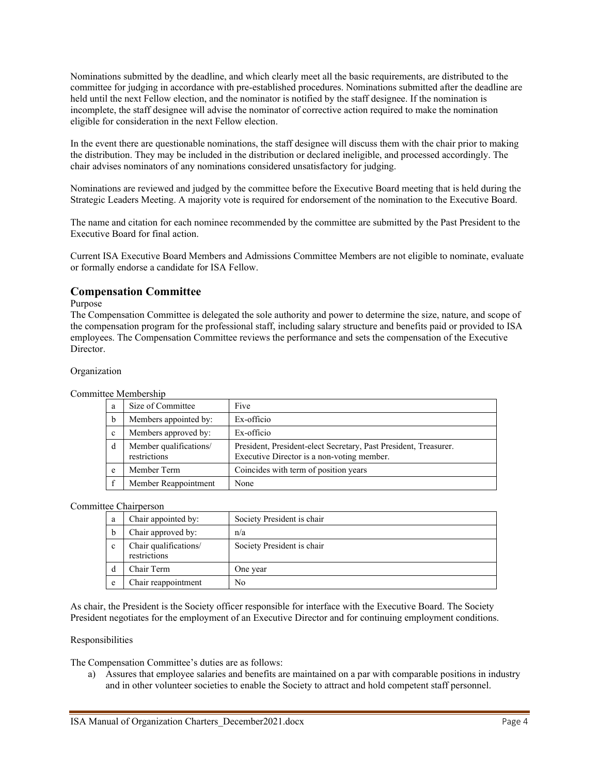Nominations submitted by the deadline, and which clearly meet all the basic requirements, are distributed to the committee for judging in accordance with pre-established procedures. Nominations submitted after the deadline are held until the next Fellow election, and the nominator is notified by the staff designee. If the nomination is incomplete, the staff designee will advise the nominator of corrective action required to make the nomination eligible for consideration in the next Fellow election.

In the event there are questionable nominations, the staff designee will discuss them with the chair prior to making the distribution. They may be included in the distribution or declared ineligible, and processed accordingly. The chair advises nominators of any nominations considered unsatisfactory for judging.

Nominations are reviewed and judged by the committee before the Executive Board meeting that is held during the Strategic Leaders Meeting. A majority vote is required for endorsement of the nomination to the Executive Board.

The name and citation for each nominee recommended by the committee are submitted by the Past President to the Executive Board for final action.

Current ISA Executive Board Members and Admissions Committee Members are not eligible to nominate, evaluate or formally endorse a candidate for ISA Fellow.

#### <span id="page-3-0"></span>**Compensation Committee**

#### Purpose

The Compensation Committee is delegated the sole authority and power to determine the size, nature, and scope of the compensation program for the professional staff, including salary structure and benefits paid or provided to ISA employees. The Compensation Committee reviews the performance and sets the compensation of the Executive Director.

#### Organization

Committee Membership

| a | Size of Committee                      | Five                                                                                                           |
|---|----------------------------------------|----------------------------------------------------------------------------------------------------------------|
| b | Members appointed by:                  | Ex-officio                                                                                                     |
| c | Members approved by:                   | Ex-officio                                                                                                     |
| d | Member qualifications/<br>restrictions | President, President-elect Secretary, Past President, Treasurer.<br>Executive Director is a non-voting member. |
| e | Member Term                            | Coincides with term of position years                                                                          |
|   | Member Reappointment                   | None                                                                                                           |

#### Committee Chairperson

| a | Chair appointed by:                   | Society President is chair |
|---|---------------------------------------|----------------------------|
| b | Chair approved by:                    | n/a                        |
| c | Chair qualifications/<br>restrictions | Society President is chair |
| d | Chair Term                            | One year                   |
| e | Chair reappointment                   | No                         |

As chair, the President is the Society officer responsible for interface with the Executive Board. The Society President negotiates for the employment of an Executive Director and for continuing employment conditions.

#### Responsibilities

The Compensation Committee's duties are as follows:

a) Assures that employee salaries and benefits are maintained on a par with comparable positions in industry and in other volunteer societies to enable the Society to attract and hold competent staff personnel.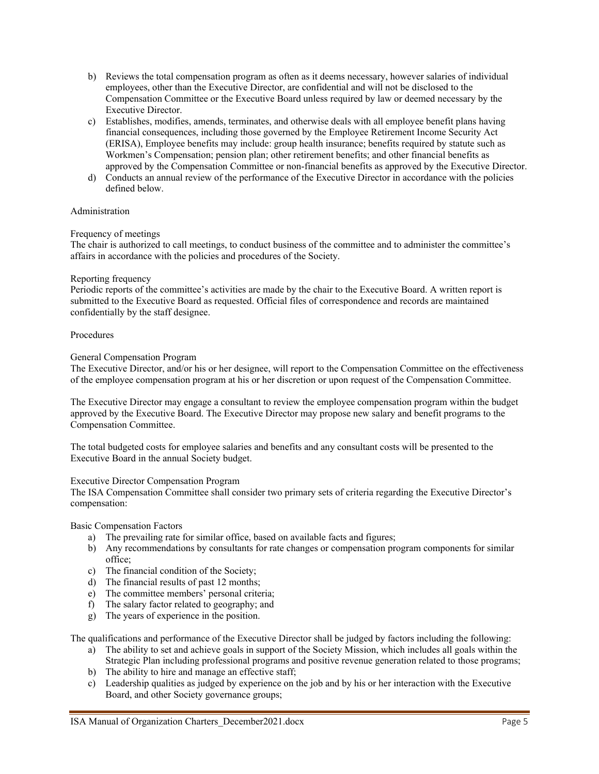- b) Reviews the total compensation program as often as it deems necessary, however salaries of individual employees, other than the Executive Director, are confidential and will not be disclosed to the Compensation Committee or the Executive Board unless required by law or deemed necessary by the Executive Director.
- c) Establishes, modifies, amends, terminates, and otherwise deals with all employee benefit plans having financial consequences, including those governed by the Employee Retirement Income Security Act (ERISA), Employee benefits may include: group health insurance; benefits required by statute such as Workmen's Compensation; pension plan; other retirement benefits; and other financial benefits as approved by the Compensation Committee or non-financial benefits as approved by the Executive Director.
- d) Conducts an annual review of the performance of the Executive Director in accordance with the policies defined below.

#### Administration

#### Frequency of meetings

The chair is authorized to call meetings, to conduct business of the committee and to administer the committee's affairs in accordance with the policies and procedures of the Society.

#### Reporting frequency

Periodic reports of the committee's activities are made by the chair to the Executive Board. A written report is submitted to the Executive Board as requested. Official files of correspondence and records are maintained confidentially by the staff designee.

#### Procedures

#### General Compensation Program

The Executive Director, and/or his or her designee, will report to the Compensation Committee on the effectiveness of the employee compensation program at his or her discretion or upon request of the Compensation Committee.

The Executive Director may engage a consultant to review the employee compensation program within the budget approved by the Executive Board. The Executive Director may propose new salary and benefit programs to the Compensation Committee.

The total budgeted costs for employee salaries and benefits and any consultant costs will be presented to the Executive Board in the annual Society budget.

#### Executive Director Compensation Program

The ISA Compensation Committee shall consider two primary sets of criteria regarding the Executive Director's compensation:

Basic Compensation Factors

- a) The prevailing rate for similar office, based on available facts and figures;
- b) Any recommendations by consultants for rate changes or compensation program components for similar office;
- c) The financial condition of the Society;
- d) The financial results of past 12 months;
- e) The committee members' personal criteria;
- f) The salary factor related to geography; and
- g) The years of experience in the position.

The qualifications and performance of the Executive Director shall be judged by factors including the following:

- a) The ability to set and achieve goals in support of the Society Mission, which includes all goals within the Strategic Plan including professional programs and positive revenue generation related to those programs;
- b) The ability to hire and manage an effective staff;
- c) Leadership qualities as judged by experience on the job and by his or her interaction with the Executive Board, and other Society governance groups;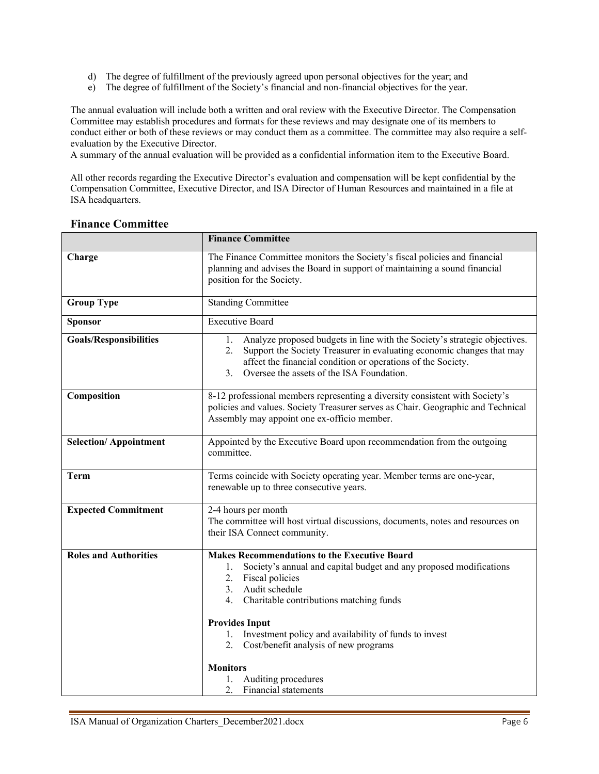- d) The degree of fulfillment of the previously agreed upon personal objectives for the year; and
- e) The degree of fulfillment of the Society's financial and non-financial objectives for the year.

The annual evaluation will include both a written and oral review with the Executive Director. The Compensation Committee may establish procedures and formats for these reviews and may designate one of its members to conduct either or both of these reviews or may conduct them as a committee. The committee may also require a selfevaluation by the Executive Director.

A summary of the annual evaluation will be provided as a confidential information item to the Executive Board.

All other records regarding the Executive Director's evaluation and compensation will be kept confidential by the Compensation Committee, Executive Director, and ISA Director of Human Resources and maintained in a file at ISA headquarters.

|                               | <b>Finance Committee</b>                                                                                                                                                                                                                                                                                                                                                                                           |
|-------------------------------|--------------------------------------------------------------------------------------------------------------------------------------------------------------------------------------------------------------------------------------------------------------------------------------------------------------------------------------------------------------------------------------------------------------------|
| Charge                        | The Finance Committee monitors the Society's fiscal policies and financial<br>planning and advises the Board in support of maintaining a sound financial<br>position for the Society.                                                                                                                                                                                                                              |
| <b>Group Type</b>             | Standing Committee                                                                                                                                                                                                                                                                                                                                                                                                 |
| <b>Sponsor</b>                | <b>Executive Board</b>                                                                                                                                                                                                                                                                                                                                                                                             |
| <b>Goals/Responsibilities</b> | Analyze proposed budgets in line with the Society's strategic objectives.<br>1.<br>Support the Society Treasurer in evaluating economic changes that may<br>2.<br>affect the financial condition or operations of the Society.<br>Oversee the assets of the ISA Foundation.<br>3.                                                                                                                                  |
| Composition                   | 8-12 professional members representing a diversity consistent with Society's<br>policies and values. Society Treasurer serves as Chair. Geographic and Technical<br>Assembly may appoint one ex-officio member.                                                                                                                                                                                                    |
| <b>Selection/Appointment</b>  | Appointed by the Executive Board upon recommendation from the outgoing<br>committee.                                                                                                                                                                                                                                                                                                                               |
| <b>Term</b>                   | Terms coincide with Society operating year. Member terms are one-year,<br>renewable up to three consecutive years.                                                                                                                                                                                                                                                                                                 |
| <b>Expected Commitment</b>    | 2-4 hours per month<br>The committee will host virtual discussions, documents, notes and resources on<br>their ISA Connect community.                                                                                                                                                                                                                                                                              |
| <b>Roles and Authorities</b>  | <b>Makes Recommendations to the Executive Board</b><br>Society's annual and capital budget and any proposed modifications<br>1.<br>2. Fiscal policies<br>Audit schedule<br>3.<br>4. Charitable contributions matching funds<br><b>Provides Input</b><br>Investment policy and availability of funds to invest<br>1.<br>Cost/benefit analysis of new programs<br>2.<br><b>Monitors</b><br>Auditing procedures<br>l. |
|                               | 2.<br><b>Financial statements</b>                                                                                                                                                                                                                                                                                                                                                                                  |

#### <span id="page-5-0"></span>**Finance Committee**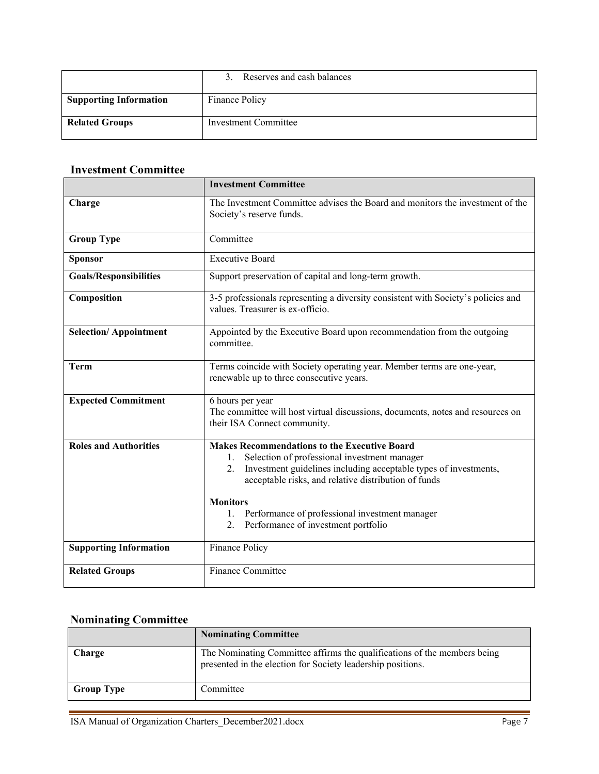|                               | Reserves and cash balances |
|-------------------------------|----------------------------|
| <b>Supporting Information</b> | Finance Policy             |
| <b>Related Groups</b>         | Investment Committee       |

## <span id="page-6-0"></span>**Investment Committee**

|                               | <b>Investment Committee</b>                                                                                                                                                                                                                                                                                                                                         |
|-------------------------------|---------------------------------------------------------------------------------------------------------------------------------------------------------------------------------------------------------------------------------------------------------------------------------------------------------------------------------------------------------------------|
| Charge                        | The Investment Committee advises the Board and monitors the investment of the<br>Society's reserve funds.                                                                                                                                                                                                                                                           |
| <b>Group Type</b>             | Committee                                                                                                                                                                                                                                                                                                                                                           |
| Sponsor                       | <b>Executive Board</b>                                                                                                                                                                                                                                                                                                                                              |
| <b>Goals/Responsibilities</b> | Support preservation of capital and long-term growth.                                                                                                                                                                                                                                                                                                               |
| Composition                   | 3-5 professionals representing a diversity consistent with Society's policies and<br>values. Treasurer is ex-officio.                                                                                                                                                                                                                                               |
| <b>Selection/Appointment</b>  | Appointed by the Executive Board upon recommendation from the outgoing<br>committee.                                                                                                                                                                                                                                                                                |
| <b>Term</b>                   | Terms coincide with Society operating year. Member terms are one-year,<br>renewable up to three consecutive years.                                                                                                                                                                                                                                                  |
| <b>Expected Commitment</b>    | 6 hours per year<br>The committee will host virtual discussions, documents, notes and resources on<br>their ISA Connect community.                                                                                                                                                                                                                                  |
| <b>Roles and Authorities</b>  | <b>Makes Recommendations to the Executive Board</b><br>Selection of professional investment manager<br>1.<br>Investment guidelines including acceptable types of investments,<br>2.<br>acceptable risks, and relative distribution of funds<br><b>Monitors</b><br>Performance of professional investment manager<br>1.<br>Performance of investment portfolio<br>2. |
| <b>Supporting Information</b> | Finance Policy                                                                                                                                                                                                                                                                                                                                                      |
| <b>Related Groups</b>         | Finance Committee                                                                                                                                                                                                                                                                                                                                                   |

# <span id="page-6-1"></span>**Nominating Committee**

|                   | <b>Nominating Committee</b>                                                                                                             |
|-------------------|-----------------------------------------------------------------------------------------------------------------------------------------|
| <b>Charge</b>     | The Nominating Committee affirms the qualifications of the members being<br>presented in the election for Society leadership positions. |
| <b>Group Type</b> | Committee                                                                                                                               |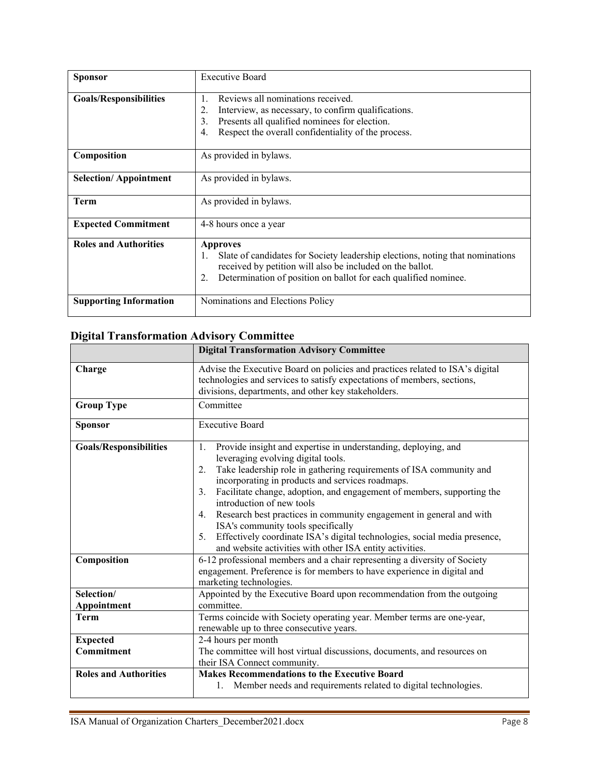| <b>Sponsor</b>                | <b>Executive Board</b>                                                                                                                                                                                                                       |
|-------------------------------|----------------------------------------------------------------------------------------------------------------------------------------------------------------------------------------------------------------------------------------------|
| <b>Goals/Responsibilities</b> | Reviews all nominations received.<br>1.<br>Interview, as necessary, to confirm qualifications.<br>2.<br>Presents all qualified nominees for election.<br>3.<br>Respect the overall confidentiality of the process.<br>4.                     |
| Composition                   | As provided in bylaws.                                                                                                                                                                                                                       |
| <b>Selection/Appointment</b>  | As provided in bylaws.                                                                                                                                                                                                                       |
| <b>Term</b>                   | As provided in bylaws.                                                                                                                                                                                                                       |
| <b>Expected Commitment</b>    | 4-8 hours once a year                                                                                                                                                                                                                        |
| <b>Roles and Authorities</b>  | <b>Approves</b><br>Slate of candidates for Society leadership elections, noting that nominations<br>1.<br>received by petition will also be included on the ballot.<br>Determination of position on ballot for each qualified nominee.<br>2. |
| <b>Supporting Information</b> | Nominations and Elections Policy                                                                                                                                                                                                             |

# <span id="page-7-0"></span>**Digital Transformation Advisory Committee**

|                               | <b>Digital Transformation Advisory Committee</b>                                                                                                                                                                                                                                                                                                                                                                                                                                                                                                                                                                           |
|-------------------------------|----------------------------------------------------------------------------------------------------------------------------------------------------------------------------------------------------------------------------------------------------------------------------------------------------------------------------------------------------------------------------------------------------------------------------------------------------------------------------------------------------------------------------------------------------------------------------------------------------------------------------|
| Charge                        | Advise the Executive Board on policies and practices related to ISA's digital<br>technologies and services to satisfy expectations of members, sections,<br>divisions, departments, and other key stakeholders.                                                                                                                                                                                                                                                                                                                                                                                                            |
| <b>Group Type</b>             | Committee                                                                                                                                                                                                                                                                                                                                                                                                                                                                                                                                                                                                                  |
| <b>Sponsor</b>                | <b>Executive Board</b>                                                                                                                                                                                                                                                                                                                                                                                                                                                                                                                                                                                                     |
| <b>Goals/Responsibilities</b> | Provide insight and expertise in understanding, deploying, and<br>1.<br>leveraging evolving digital tools.<br>Take leadership role in gathering requirements of ISA community and<br>2.<br>incorporating in products and services roadmaps.<br>Facilitate change, adoption, and engagement of members, supporting the<br>3.<br>introduction of new tools<br>Research best practices in community engagement in general and with<br>4.<br>ISA's community tools specifically<br>Effectively coordinate ISA's digital technologies, social media presence,<br>5.<br>and website activities with other ISA entity activities. |
| Composition                   | 6-12 professional members and a chair representing a diversity of Society<br>engagement. Preference is for members to have experience in digital and<br>marketing technologies.                                                                                                                                                                                                                                                                                                                                                                                                                                            |
| Selection/                    | Appointed by the Executive Board upon recommendation from the outgoing                                                                                                                                                                                                                                                                                                                                                                                                                                                                                                                                                     |
| Appointment                   | committee.                                                                                                                                                                                                                                                                                                                                                                                                                                                                                                                                                                                                                 |
| <b>Term</b>                   | Terms coincide with Society operating year. Member terms are one-year,<br>renewable up to three consecutive years.                                                                                                                                                                                                                                                                                                                                                                                                                                                                                                         |
| <b>Expected</b>               | 2-4 hours per month                                                                                                                                                                                                                                                                                                                                                                                                                                                                                                                                                                                                        |
| Commitment                    | The committee will host virtual discussions, documents, and resources on<br>their ISA Connect community.                                                                                                                                                                                                                                                                                                                                                                                                                                                                                                                   |
| <b>Roles and Authorities</b>  | <b>Makes Recommendations to the Executive Board</b>                                                                                                                                                                                                                                                                                                                                                                                                                                                                                                                                                                        |
|                               | Member needs and requirements related to digital technologies.<br>1.                                                                                                                                                                                                                                                                                                                                                                                                                                                                                                                                                       |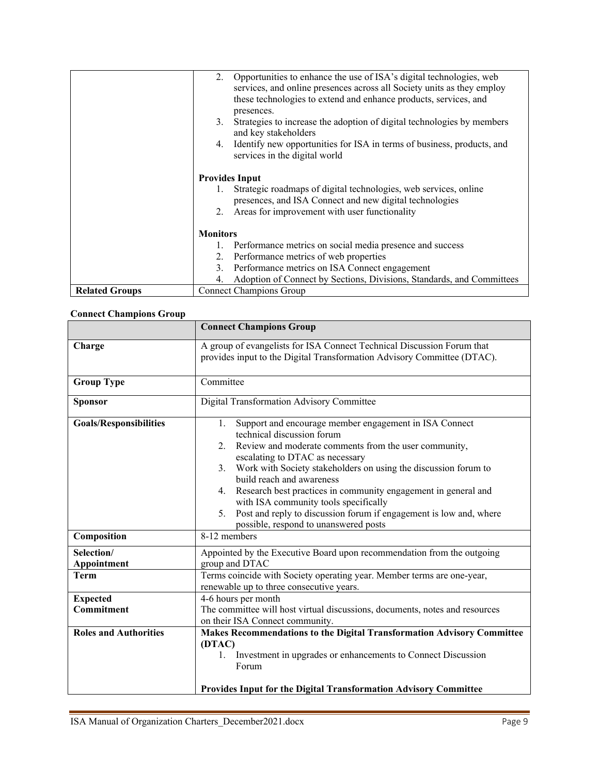|                       | Opportunities to enhance the use of ISA's digital technologies, web<br>2.<br>services, and online presences across all Society units as they employ<br>these technologies to extend and enhance products, services, and<br>presences.<br>Strategies to increase the adoption of digital technologies by members<br>3. |
|-----------------------|-----------------------------------------------------------------------------------------------------------------------------------------------------------------------------------------------------------------------------------------------------------------------------------------------------------------------|
|                       | and key stakeholders<br>Identify new opportunities for ISA in terms of business, products, and<br>4.<br>services in the digital world                                                                                                                                                                                 |
|                       | <b>Provides Input</b><br>Strategic roadmaps of digital technologies, web services, online<br>1.<br>presences, and ISA Connect and new digital technologies<br>Areas for improvement with user functionality<br>2.                                                                                                     |
|                       | <b>Monitors</b><br>1. Performance metrics on social media presence and success                                                                                                                                                                                                                                        |
|                       | Performance metrics of web properties<br>2.<br>Performance metrics on ISA Connect engagement<br>3.<br>Adoption of Connect by Sections, Divisions, Standards, and Committees<br>4.                                                                                                                                     |
| <b>Related Groups</b> | Connect Champions Group                                                                                                                                                                                                                                                                                               |

# <span id="page-8-0"></span>**Connect Champions Group**

|                               | <b>Connect Champions Group</b>                                                                                                                                                                                                                                                                                                                                                                                                                                                                                                           |
|-------------------------------|------------------------------------------------------------------------------------------------------------------------------------------------------------------------------------------------------------------------------------------------------------------------------------------------------------------------------------------------------------------------------------------------------------------------------------------------------------------------------------------------------------------------------------------|
| Charge                        | A group of evangelists for ISA Connect Technical Discussion Forum that<br>provides input to the Digital Transformation Advisory Committee (DTAC).                                                                                                                                                                                                                                                                                                                                                                                        |
| <b>Group Type</b>             | Committee                                                                                                                                                                                                                                                                                                                                                                                                                                                                                                                                |
| <b>Sponsor</b>                | Digital Transformation Advisory Committee                                                                                                                                                                                                                                                                                                                                                                                                                                                                                                |
| <b>Goals/Responsibilities</b> | Support and encourage member engagement in ISA Connect<br>1.<br>technical discussion forum<br>Review and moderate comments from the user community,<br>2.<br>escalating to DTAC as necessary<br>Work with Society stakeholders on using the discussion forum to<br>3.<br>build reach and awareness<br>Research best practices in community engagement in general and<br>4.<br>with ISA community tools specifically<br>Post and reply to discussion forum if engagement is low and, where<br>5.<br>possible, respond to unanswered posts |
| Composition                   | 8-12 members                                                                                                                                                                                                                                                                                                                                                                                                                                                                                                                             |
| Selection/<br>Appointment     | Appointed by the Executive Board upon recommendation from the outgoing<br>group and DTAC                                                                                                                                                                                                                                                                                                                                                                                                                                                 |
| <b>Term</b>                   | Terms coincide with Society operating year. Member terms are one-year,<br>renewable up to three consecutive years.                                                                                                                                                                                                                                                                                                                                                                                                                       |
| <b>Expected</b><br>Commitment | 4-6 hours per month<br>The committee will host virtual discussions, documents, notes and resources<br>on their ISA Connect community.                                                                                                                                                                                                                                                                                                                                                                                                    |
| <b>Roles and Authorities</b>  | Makes Recommendations to the Digital Transformation Advisory Committee                                                                                                                                                                                                                                                                                                                                                                                                                                                                   |
|                               | (DTAC)<br>Investment in upgrades or enhancements to Connect Discussion<br>Forum<br><b>Provides Input for the Digital Transformation Advisory Committee</b>                                                                                                                                                                                                                                                                                                                                                                               |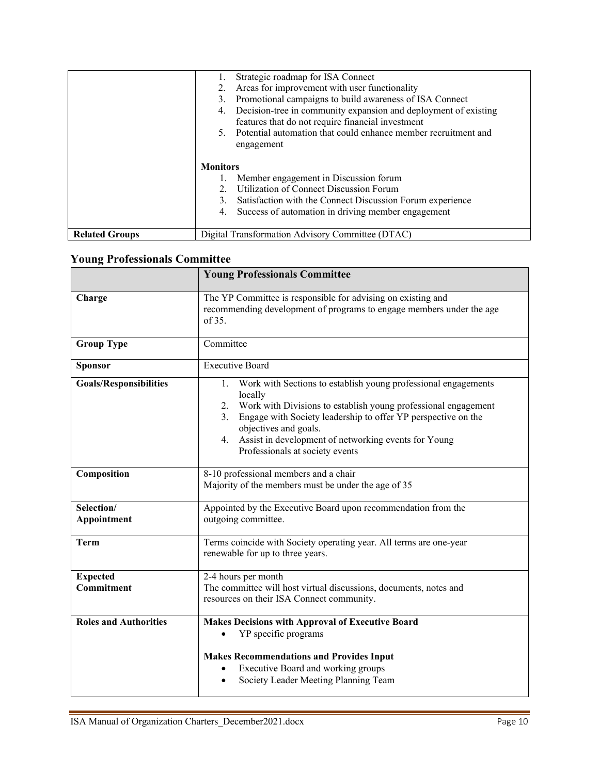|                       | Strategic roadmap for ISA Connect                                                                                    |
|-----------------------|----------------------------------------------------------------------------------------------------------------------|
|                       | Areas for improvement with user functionality                                                                        |
|                       | Promotional campaigns to build awareness of ISA Connect<br>3.                                                        |
|                       | Decision-tree in community expansion and deployment of existing<br>features that do not require financial investment |
|                       | Potential automation that could enhance member recruitment and<br>5.<br>engagement                                   |
|                       | <b>Monitors</b>                                                                                                      |
|                       | 1. Member engagement in Discussion forum                                                                             |
|                       | Utilization of Connect Discussion Forum<br>$2^{1}$                                                                   |
|                       | Satisfaction with the Connect Discussion Forum experience<br>3.                                                      |
|                       | 4. Success of automation in driving member engagement                                                                |
| <b>Related Groups</b> | Digital Transformation Advisory Committee (DTAC)                                                                     |

# <span id="page-9-0"></span>**Young Professionals Committee**

|                               | <b>Young Professionals Committee</b>                                                                                                                                                                                                                                                                                                                     |
|-------------------------------|----------------------------------------------------------------------------------------------------------------------------------------------------------------------------------------------------------------------------------------------------------------------------------------------------------------------------------------------------------|
| Charge                        | The YP Committee is responsible for advising on existing and<br>recommending development of programs to engage members under the age<br>of 35.                                                                                                                                                                                                           |
| <b>Group Type</b>             | Committee                                                                                                                                                                                                                                                                                                                                                |
| <b>Sponsor</b>                | <b>Executive Board</b>                                                                                                                                                                                                                                                                                                                                   |
| <b>Goals/Responsibilities</b> | Work with Sections to establish young professional engagements<br>1.<br>locally<br>Work with Divisions to establish young professional engagement<br>2.<br>Engage with Society leadership to offer YP perspective on the<br>3.<br>objectives and goals.<br>Assist in development of networking events for Young<br>4.<br>Professionals at society events |
| Composition                   | 8-10 professional members and a chair<br>Majority of the members must be under the age of 35                                                                                                                                                                                                                                                             |
| Selection/<br>Appointment     | Appointed by the Executive Board upon recommendation from the<br>outgoing committee.                                                                                                                                                                                                                                                                     |
| <b>Term</b>                   | Terms coincide with Society operating year. All terms are one-year<br>renewable for up to three years.                                                                                                                                                                                                                                                   |
| <b>Expected</b><br>Commitment | 2-4 hours per month<br>The committee will host virtual discussions, documents, notes and<br>resources on their ISA Connect community.                                                                                                                                                                                                                    |
| <b>Roles and Authorities</b>  | <b>Makes Decisions with Approval of Executive Board</b><br>YP specific programs<br><b>Makes Recommendations and Provides Input</b><br>Executive Board and working groups                                                                                                                                                                                 |
|                               | Society Leader Meeting Planning Team<br>$\bullet$                                                                                                                                                                                                                                                                                                        |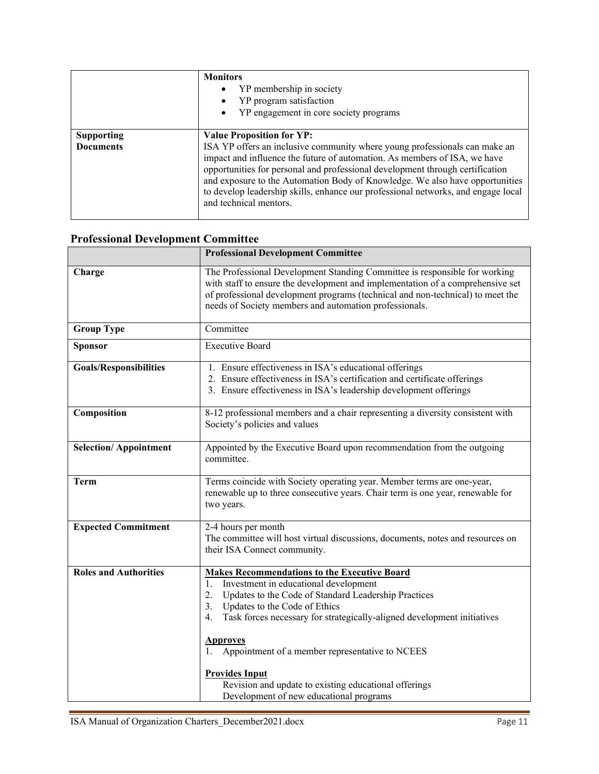|                                       | <b>Monitors</b><br>YP membership in society<br>YP program satisfaction<br>YP engagement in core society programs                                                                                                                                                                                                                                                                                                                                                            |
|---------------------------------------|-----------------------------------------------------------------------------------------------------------------------------------------------------------------------------------------------------------------------------------------------------------------------------------------------------------------------------------------------------------------------------------------------------------------------------------------------------------------------------|
| <b>Supporting</b><br><b>Documents</b> | <b>Value Proposition for YP:</b><br>ISA YP offers an inclusive community where young professionals can make an<br>impact and influence the future of automation. As members of ISA, we have<br>opportunities for personal and professional development through certification<br>and exposure to the Automation Body of Knowledge. We also have opportunities<br>to develop leadership skills, enhance our professional networks, and engage local<br>and technical mentors. |

# <span id="page-10-0"></span>**Professional Development Committee**

|                               | <b>Professional Development Committee</b>                                                                                                                                                                                                                                                                                                                                                                                                                                                   |
|-------------------------------|---------------------------------------------------------------------------------------------------------------------------------------------------------------------------------------------------------------------------------------------------------------------------------------------------------------------------------------------------------------------------------------------------------------------------------------------------------------------------------------------|
| Charge                        | The Professional Development Standing Committee is responsible for working<br>with staff to ensure the development and implementation of a comprehensive set<br>of professional development programs (technical and non-technical) to meet the<br>needs of Society members and automation professionals.                                                                                                                                                                                    |
| <b>Group Type</b>             | Committee                                                                                                                                                                                                                                                                                                                                                                                                                                                                                   |
| Sponsor                       | <b>Executive Board</b>                                                                                                                                                                                                                                                                                                                                                                                                                                                                      |
| <b>Goals/Responsibilities</b> | 1. Ensure effectiveness in ISA's educational offerings<br>2. Ensure effectiveness in ISA's certification and certificate offerings<br>3. Ensure effectiveness in ISA's leadership development offerings                                                                                                                                                                                                                                                                                     |
| Composition                   | 8-12 professional members and a chair representing a diversity consistent with<br>Society's policies and values                                                                                                                                                                                                                                                                                                                                                                             |
| <b>Selection/Appointment</b>  | Appointed by the Executive Board upon recommendation from the outgoing<br>committee.                                                                                                                                                                                                                                                                                                                                                                                                        |
| <b>Term</b>                   | Terms coincide with Society operating year. Member terms are one-year,<br>renewable up to three consecutive years. Chair term is one year, renewable for<br>two years.                                                                                                                                                                                                                                                                                                                      |
| <b>Expected Commitment</b>    | 2-4 hours per month<br>The committee will host virtual discussions, documents, notes and resources on<br>their ISA Connect community.                                                                                                                                                                                                                                                                                                                                                       |
| <b>Roles and Authorities</b>  | <b>Makes Recommendations to the Executive Board</b><br>Investment in educational development<br>1.<br>Updates to the Code of Standard Leadership Practices<br>2.<br>Updates to the Code of Ethics<br>3.<br>Task forces necessary for strategically-aligned development initiatives<br>4.<br><b>Approves</b><br>Appointment of a member representative to NCEES<br><b>Provides Input</b><br>Revision and update to existing educational offerings<br>Development of new educational programs |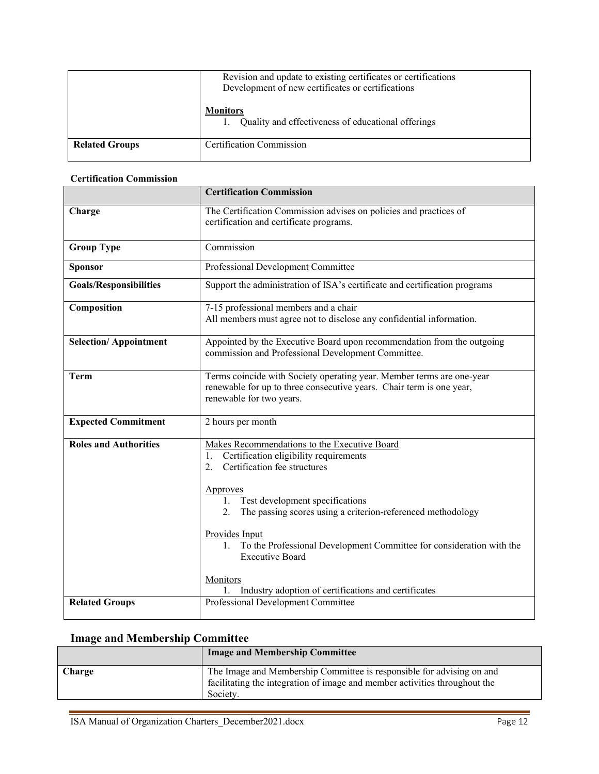|                       | Revision and update to existing certificates or certifications<br>Development of new certificates or certifications |
|-----------------------|---------------------------------------------------------------------------------------------------------------------|
|                       | <b>Monitors</b><br>1. Quality and effectiveness of educational offerings                                            |
| <b>Related Groups</b> | <b>Certification Commission</b>                                                                                     |

#### <span id="page-11-0"></span>**Certification Commission**

|                               | <b>Certification Commission</b>                                                                                                                                                                                                                                                                                                                                                                                                                                  |
|-------------------------------|------------------------------------------------------------------------------------------------------------------------------------------------------------------------------------------------------------------------------------------------------------------------------------------------------------------------------------------------------------------------------------------------------------------------------------------------------------------|
| Charge                        | The Certification Commission advises on policies and practices of<br>certification and certificate programs.                                                                                                                                                                                                                                                                                                                                                     |
| <b>Group Type</b>             | Commission                                                                                                                                                                                                                                                                                                                                                                                                                                                       |
| <b>Sponsor</b>                | Professional Development Committee                                                                                                                                                                                                                                                                                                                                                                                                                               |
| <b>Goals/Responsibilities</b> | Support the administration of ISA's certificate and certification programs                                                                                                                                                                                                                                                                                                                                                                                       |
| Composition                   | 7-15 professional members and a chair<br>All members must agree not to disclose any confidential information.                                                                                                                                                                                                                                                                                                                                                    |
| <b>Selection/Appointment</b>  | Appointed by the Executive Board upon recommendation from the outgoing<br>commission and Professional Development Committee.                                                                                                                                                                                                                                                                                                                                     |
| Term                          | Terms coincide with Society operating year. Member terms are one-year<br>renewable for up to three consecutive years. Chair term is one year,<br>renewable for two years.                                                                                                                                                                                                                                                                                        |
| <b>Expected Commitment</b>    | 2 hours per month                                                                                                                                                                                                                                                                                                                                                                                                                                                |
| <b>Roles and Authorities</b>  | Makes Recommendations to the Executive Board<br>Certification eligibility requirements<br>1.<br>Certification fee structures<br>2.<br>Approves<br>Test development specifications<br>$1_{\cdot}$<br>The passing scores using a criterion-referenced methodology<br>2.<br>Provides Input<br>1. To the Professional Development Committee for consideration with the<br><b>Executive Board</b><br>Monitors<br>Industry adoption of certifications and certificates |
| <b>Related Groups</b>         | Professional Development Committee                                                                                                                                                                                                                                                                                                                                                                                                                               |

# <span id="page-11-1"></span>**Image and Membership Committee**

|        | <b>Image and Membership Committee</b>                                                                                                                           |
|--------|-----------------------------------------------------------------------------------------------------------------------------------------------------------------|
| Charge | The Image and Membership Committee is responsible for advising on and<br>facilitating the integration of image and member activities throughout the<br>Society. |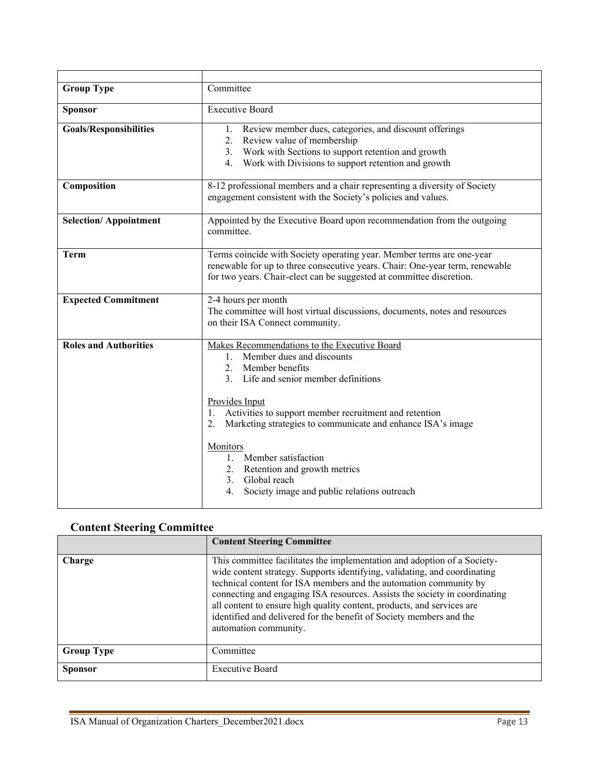| <b>Group Type</b>             | Committee                                                                                                                                                                                                                                                                                                                                                                                                                                        |
|-------------------------------|--------------------------------------------------------------------------------------------------------------------------------------------------------------------------------------------------------------------------------------------------------------------------------------------------------------------------------------------------------------------------------------------------------------------------------------------------|
| <b>Sponsor</b>                | <b>Executive Board</b>                                                                                                                                                                                                                                                                                                                                                                                                                           |
| <b>Goals/Responsibilities</b> | Review member dues, categories, and discount offerings<br>1.<br>2. Review value of membership<br>3. Work with Sections to support retention and growth<br>Work with Divisions to support retention and growth<br>4.                                                                                                                                                                                                                              |
| Composition                   | 8-12 professional members and a chair representing a diversity of Society<br>engagement consistent with the Society's policies and values.                                                                                                                                                                                                                                                                                                       |
| <b>Selection/Appointment</b>  | Appointed by the Executive Board upon recommendation from the outgoing<br>committee.                                                                                                                                                                                                                                                                                                                                                             |
| <b>Term</b>                   | Terms coincide with Society operating year. Member terms are one-year<br>renewable for up to three consecutive years. Chair: One-year term, renewable<br>for two years. Chair-elect can be suggested at committee discretion.                                                                                                                                                                                                                    |
| <b>Expected Commitment</b>    | 2-4 hours per month<br>The committee will host virtual discussions, documents, notes and resources<br>on their ISA Connect community.                                                                                                                                                                                                                                                                                                            |
| <b>Roles and Authorities</b>  | Makes Recommendations to the Executive Board<br>1. Member dues and discounts<br>2. Member benefits<br>3. Life and senior member definitions<br>Provides Input<br>1. Activities to support member recruitment and retention<br>Marketing strategies to communicate and enhance ISA's image<br>2.<br>Monitors<br>1. Member satisfaction<br>2. Retention and growth metrics<br>3. Global reach<br>Society image and public relations outreach<br>4. |

# <span id="page-12-0"></span>**Content Steering Committee**

|                   | <b>Content Steering Committee</b>                                                                                                                                                                                                                                                                                                                                                                                                                                                  |
|-------------------|------------------------------------------------------------------------------------------------------------------------------------------------------------------------------------------------------------------------------------------------------------------------------------------------------------------------------------------------------------------------------------------------------------------------------------------------------------------------------------|
| Charge            | This committee facilitates the implementation and adoption of a Society-<br>wide content strategy. Supports identifying, validating, and coordinating<br>technical content for ISA members and the automation community by<br>connecting and engaging ISA resources. Assists the society in coordinating<br>all content to ensure high quality content, products, and services are<br>identified and delivered for the benefit of Society members and the<br>automation community. |
| <b>Group Type</b> | Committee                                                                                                                                                                                                                                                                                                                                                                                                                                                                          |
| Sponsor           | <b>Executive Board</b>                                                                                                                                                                                                                                                                                                                                                                                                                                                             |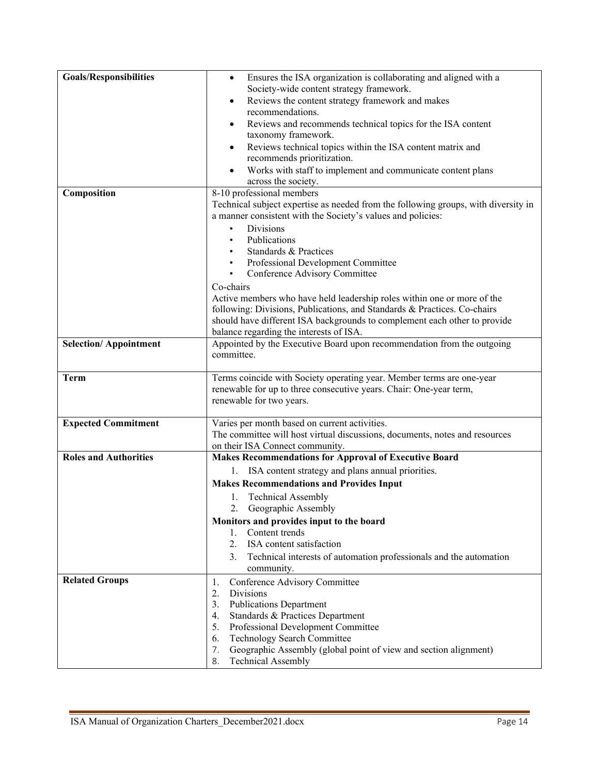| <b>Goals/Responsibilities</b> | Ensures the ISA organization is collaborating and aligned with a<br>$\bullet$                         |
|-------------------------------|-------------------------------------------------------------------------------------------------------|
|                               | Society-wide content strategy framework.                                                              |
|                               | Reviews the content strategy framework and makes<br>٠                                                 |
|                               | recommendations.                                                                                      |
|                               | Reviews and recommends technical topics for the ISA content                                           |
|                               | taxonomy framework.                                                                                   |
|                               | Reviews technical topics within the ISA content matrix and                                            |
|                               | recommends prioritization.                                                                            |
|                               | Works with staff to implement and communicate content plans                                           |
|                               | across the society.                                                                                   |
| Composition                   | 8-10 professional members                                                                             |
|                               | Technical subject expertise as needed from the following groups, with diversity in                    |
|                               | a manner consistent with the Society's values and policies:                                           |
|                               | <b>Divisions</b>                                                                                      |
|                               | Publications                                                                                          |
|                               | Standards & Practices                                                                                 |
|                               | Professional Development Committee                                                                    |
|                               | Conference Advisory Committee<br>٠                                                                    |
|                               | Co-chairs                                                                                             |
|                               | Active members who have held leadership roles within one or more of the                               |
|                               | following: Divisions, Publications, and Standards & Practices. Co-chairs                              |
|                               | should have different ISA backgrounds to complement each other to provide                             |
|                               | balance regarding the interests of ISA.                                                               |
| <b>Selection/Appointment</b>  | Appointed by the Executive Board upon recommendation from the outgoing                                |
|                               | committee.                                                                                            |
| <b>Term</b>                   | Terms coincide with Society operating year. Member terms are one-year                                 |
|                               | renewable for up to three consecutive years. Chair: One-year term,                                    |
|                               | renewable for two years.                                                                              |
|                               |                                                                                                       |
| <b>Expected Commitment</b>    | Varies per month based on current activities.                                                         |
|                               | The committee will host virtual discussions, documents, notes and resources                           |
|                               | on their ISA Connect community.                                                                       |
| <b>Roles and Authorities</b>  | <b>Makes Recommendations for Approval of Executive Board</b>                                          |
|                               | 1. ISA content strategy and plans annual priorities.                                                  |
|                               | <b>Makes Recommendations and Provides Input</b>                                                       |
|                               | <b>Technical Assembly</b><br>1.                                                                       |
|                               | 2. Geographic Assembly                                                                                |
|                               | Monitors and provides input to the board                                                              |
|                               | Content trends<br>1.                                                                                  |
|                               | 2.<br>ISA content satisfaction                                                                        |
|                               | Technical interests of automation professionals and the automation<br>3.                              |
|                               | community.                                                                                            |
| <b>Related Groups</b>         | Conference Advisory Committee<br>1.                                                                   |
|                               | 2.<br><b>Divisions</b>                                                                                |
|                               | 3.<br><b>Publications Department</b>                                                                  |
|                               | Standards & Practices Department<br>4.                                                                |
|                               | Professional Development Committee<br>5.                                                              |
|                               |                                                                                                       |
|                               | 6.                                                                                                    |
|                               | Technology Search Committee<br>Geographic Assembly (global point of view and section alignment)<br>7. |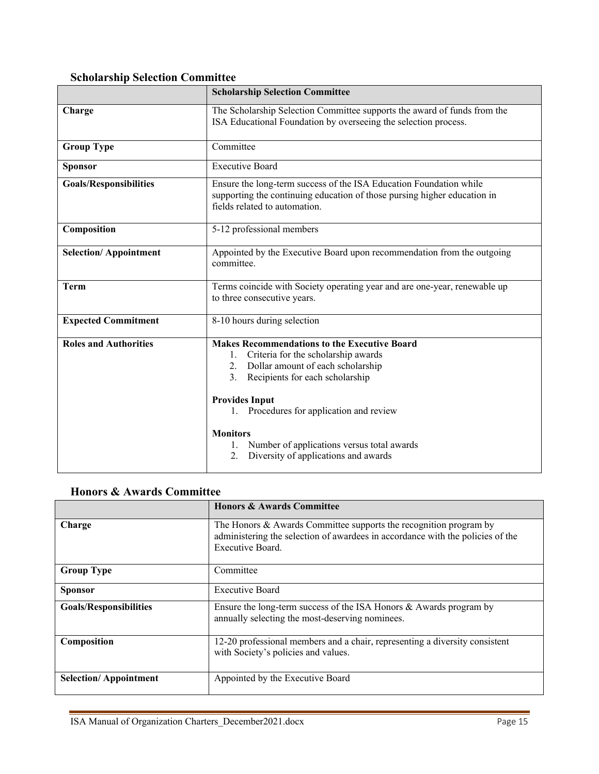# <span id="page-14-0"></span>**Scholarship Selection Committee**

|                               | <b>Scholarship Selection Committee</b>                                                                                                                                                                                                                                                                                                                             |
|-------------------------------|--------------------------------------------------------------------------------------------------------------------------------------------------------------------------------------------------------------------------------------------------------------------------------------------------------------------------------------------------------------------|
| Charge                        | The Scholarship Selection Committee supports the award of funds from the<br>ISA Educational Foundation by overseeing the selection process.                                                                                                                                                                                                                        |
| <b>Group Type</b>             | Committee                                                                                                                                                                                                                                                                                                                                                          |
| <b>Sponsor</b>                | <b>Executive Board</b>                                                                                                                                                                                                                                                                                                                                             |
| <b>Goals/Responsibilities</b> | Ensure the long-term success of the ISA Education Foundation while<br>supporting the continuing education of those pursing higher education in<br>fields related to automation.                                                                                                                                                                                    |
| Composition                   | 5-12 professional members                                                                                                                                                                                                                                                                                                                                          |
| <b>Selection/Appointment</b>  | Appointed by the Executive Board upon recommendation from the outgoing<br>committee.                                                                                                                                                                                                                                                                               |
| <b>Term</b>                   | Terms coincide with Society operating year and are one-year, renewable up<br>to three consecutive years.                                                                                                                                                                                                                                                           |
| <b>Expected Commitment</b>    | 8-10 hours during selection                                                                                                                                                                                                                                                                                                                                        |
| <b>Roles and Authorities</b>  | <b>Makes Recommendations to the Executive Board</b><br>Criteria for the scholarship awards<br>1.<br>2. Dollar amount of each scholarship<br>3. Recipients for each scholarship<br><b>Provides Input</b><br>1. Procedures for application and review<br><b>Monitors</b><br>Number of applications versus total awards<br>Diversity of applications and awards<br>2. |

# <span id="page-14-1"></span>**Honors & Awards Committee**

|                               | <b>Honors &amp; Awards Committee</b>                                                                                                                                      |
|-------------------------------|---------------------------------------------------------------------------------------------------------------------------------------------------------------------------|
| Charge                        | The Honors $&$ Awards Committee supports the recognition program by<br>administering the selection of awardees in accordance with the policies of the<br>Executive Board. |
| <b>Group Type</b>             | Committee                                                                                                                                                                 |
| <b>Sponsor</b>                | <b>Executive Board</b>                                                                                                                                                    |
| <b>Goals/Responsibilities</b> | Ensure the long-term success of the ISA Honors $&$ Awards program by<br>annually selecting the most-deserving nominees.                                                   |
| Composition                   | 12-20 professional members and a chair, representing a diversity consistent<br>with Society's policies and values.                                                        |
| <b>Selection/Appointment</b>  | Appointed by the Executive Board                                                                                                                                          |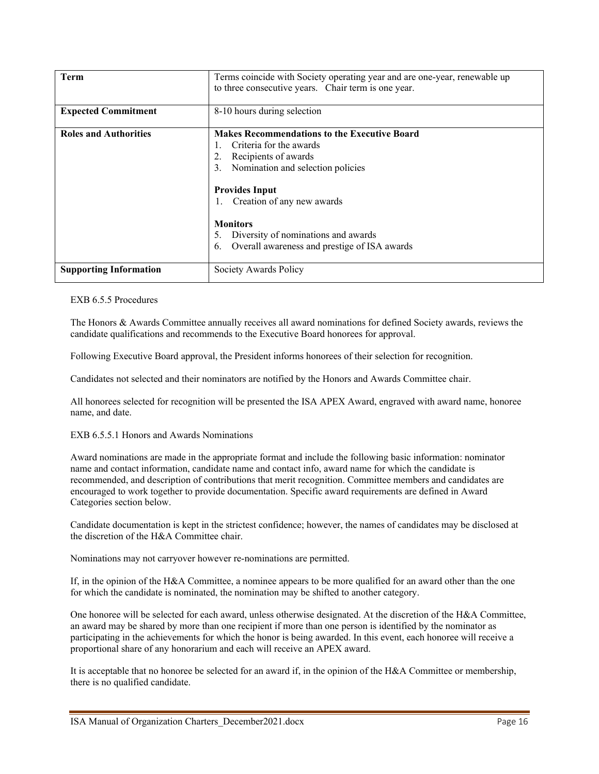| Term                          | Terms coincide with Society operating year and are one-year, renewable up<br>to three consecutive years. Chair term is one year.                                                                                                                                                                                               |
|-------------------------------|--------------------------------------------------------------------------------------------------------------------------------------------------------------------------------------------------------------------------------------------------------------------------------------------------------------------------------|
| <b>Expected Commitment</b>    | 8-10 hours during selection                                                                                                                                                                                                                                                                                                    |
| <b>Roles and Authorities</b>  | <b>Makes Recommendations to the Executive Board</b><br>Criteria for the awards<br>Recipients of awards<br>Nomination and selection policies<br>3.<br><b>Provides Input</b><br>Creation of any new awards<br><b>Monitors</b><br>Diversity of nominations and awards<br>5.<br>Overall awareness and prestige of ISA awards<br>6. |
| <b>Supporting Information</b> | Society Awards Policy                                                                                                                                                                                                                                                                                                          |

EXB 6.5.5 Procedures

The Honors & Awards Committee annually receives all award nominations for defined Society awards, reviews the candidate qualifications and recommends to the Executive Board honorees for approval.

Following Executive Board approval, the President informs honorees of their selection for recognition.

Candidates not selected and their nominators are notified by the Honors and Awards Committee chair.

All honorees selected for recognition will be presented the ISA APEX Award, engraved with award name, honoree name, and date.

#### EXB 6.5.5.1 Honors and Awards Nominations

Award nominations are made in the appropriate format and include the following basic information: nominator name and contact information, candidate name and contact info, award name for which the candidate is recommended, and description of contributions that merit recognition. Committee members and candidates are encouraged to work together to provide documentation. Specific award requirements are defined in Award Categories section below.

Candidate documentation is kept in the strictest confidence; however, the names of candidates may be disclosed at the discretion of the H&A Committee chair.

Nominations may not carryover however re-nominations are permitted.

If, in the opinion of the H&A Committee, a nominee appears to be more qualified for an award other than the one for which the candidate is nominated, the nomination may be shifted to another category.

One honoree will be selected for each award, unless otherwise designated. At the discretion of the H&A Committee, an award may be shared by more than one recipient if more than one person is identified by the nominator as participating in the achievements for which the honor is being awarded. In this event, each honoree will receive a proportional share of any honorarium and each will receive an APEX award.

It is acceptable that no honoree be selected for an award if, in the opinion of the H&A Committee or membership, there is no qualified candidate.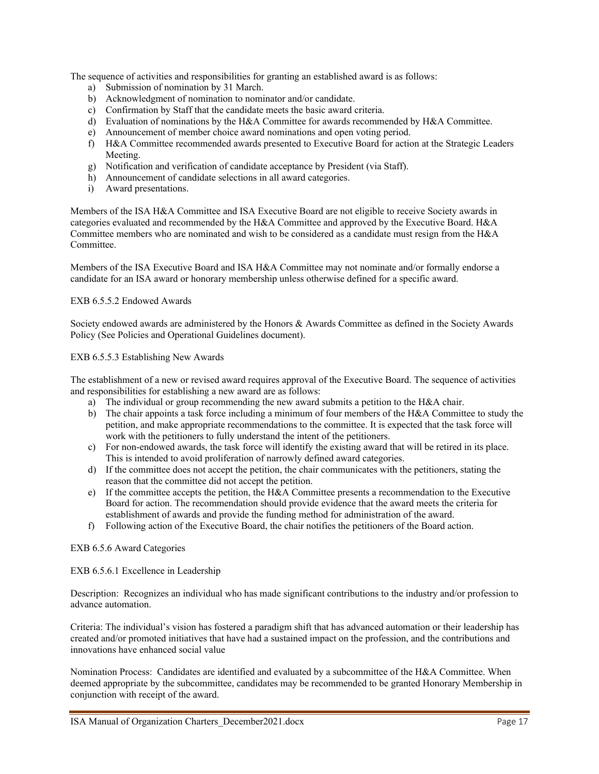The sequence of activities and responsibilities for granting an established award is as follows:

- a) Submission of nomination by 31 March.
- b) Acknowledgment of nomination to nominator and/or candidate.
- c) Confirmation by Staff that the candidate meets the basic award criteria.
- d) Evaluation of nominations by the H&A Committee for awards recommended by H&A Committee.
- e) Announcement of member choice award nominations and open voting period.
- f) H&A Committee recommended awards presented to Executive Board for action at the Strategic Leaders Meeting.
- g) Notification and verification of candidate acceptance by President (via Staff).
- h) Announcement of candidate selections in all award categories.
- i) Award presentations.

Members of the ISA H&A Committee and ISA Executive Board are not eligible to receive Society awards in categories evaluated and recommended by the H&A Committee and approved by the Executive Board. H&A Committee members who are nominated and wish to be considered as a candidate must resign from the H&A Committee.

Members of the ISA Executive Board and ISA H&A Committee may not nominate and/or formally endorse a candidate for an ISA award or honorary membership unless otherwise defined for a specific award.

#### EXB 6.5.5.2 Endowed Awards

Society endowed awards are administered by the Honors & Awards Committee as defined in the Society Awards Policy (See Policies and Operational Guidelines document).

#### EXB 6.5.5.3 Establishing New Awards

The establishment of a new or revised award requires approval of the Executive Board. The sequence of activities and responsibilities for establishing a new award are as follows:

- a) The individual or group recommending the new award submits a petition to the H&A chair.
- b) The chair appoints a task force including a minimum of four members of the H&A Committee to study the petition, and make appropriate recommendations to the committee. It is expected that the task force will work with the petitioners to fully understand the intent of the petitioners.
- c) For non-endowed awards, the task force will identify the existing award that will be retired in its place. This is intended to avoid proliferation of narrowly defined award categories.
- d) If the committee does not accept the petition, the chair communicates with the petitioners, stating the reason that the committee did not accept the petition.
- e) If the committee accepts the petition, the H&A Committee presents a recommendation to the Executive Board for action. The recommendation should provide evidence that the award meets the criteria for establishment of awards and provide the funding method for administration of the award.
- f) Following action of the Executive Board, the chair notifies the petitioners of the Board action.

#### EXB 6.5.6 Award Categories

#### EXB 6.5.6.1 Excellence in Leadership

Description: Recognizes an individual who has made significant contributions to the industry and/or profession to advance automation.

Criteria: The individual's vision has fostered a paradigm shift that has advanced automation or their leadership has created and/or promoted initiatives that have had a sustained impact on the profession, and the contributions and innovations have enhanced social value

Nomination Process: Candidates are identified and evaluated by a subcommittee of the H&A Committee. When deemed appropriate by the subcommittee, candidates may be recommended to be granted Honorary Membership in conjunction with receipt of the award.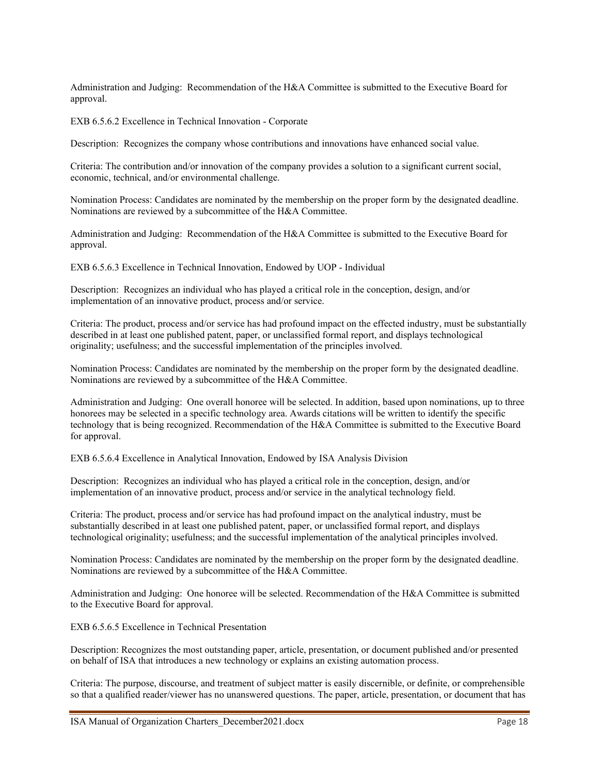Administration and Judging: Recommendation of the H&A Committee is submitted to the Executive Board for approval.

EXB 6.5.6.2 Excellence in Technical Innovation - Corporate

Description: Recognizes the company whose contributions and innovations have enhanced social value.

Criteria: The contribution and/or innovation of the company provides a solution to a significant current social, economic, technical, and/or environmental challenge.

Nomination Process: Candidates are nominated by the membership on the proper form by the designated deadline. Nominations are reviewed by a subcommittee of the H&A Committee.

Administration and Judging: Recommendation of the H&A Committee is submitted to the Executive Board for approval.

EXB 6.5.6.3 Excellence in Technical Innovation, Endowed by UOP - Individual

Description: Recognizes an individual who has played a critical role in the conception, design, and/or implementation of an innovative product, process and/or service.

Criteria: The product, process and/or service has had profound impact on the effected industry, must be substantially described in at least one published patent, paper, or unclassified formal report, and displays technological originality; usefulness; and the successful implementation of the principles involved.

Nomination Process: Candidates are nominated by the membership on the proper form by the designated deadline. Nominations are reviewed by a subcommittee of the H&A Committee.

Administration and Judging: One overall honoree will be selected. In addition, based upon nominations, up to three honorees may be selected in a specific technology area. Awards citations will be written to identify the specific technology that is being recognized. Recommendation of the H&A Committee is submitted to the Executive Board for approval.

EXB 6.5.6.4 Excellence in Analytical Innovation, Endowed by ISA Analysis Division

Description: Recognizes an individual who has played a critical role in the conception, design, and/or implementation of an innovative product, process and/or service in the analytical technology field.

Criteria: The product, process and/or service has had profound impact on the analytical industry, must be substantially described in at least one published patent, paper, or unclassified formal report, and displays technological originality; usefulness; and the successful implementation of the analytical principles involved.

Nomination Process: Candidates are nominated by the membership on the proper form by the designated deadline. Nominations are reviewed by a subcommittee of the H&A Committee.

Administration and Judging: One honoree will be selected. Recommendation of the H&A Committee is submitted to the Executive Board for approval.

EXB 6.5.6.5 Excellence in Technical Presentation

Description: Recognizes the most outstanding paper, article, presentation, or document published and/or presented on behalf of ISA that introduces a new technology or explains an existing automation process.

Criteria: The purpose, discourse, and treatment of subject matter is easily discernible, or definite, or comprehensible so that a qualified reader/viewer has no unanswered questions. The paper, article, presentation, or document that has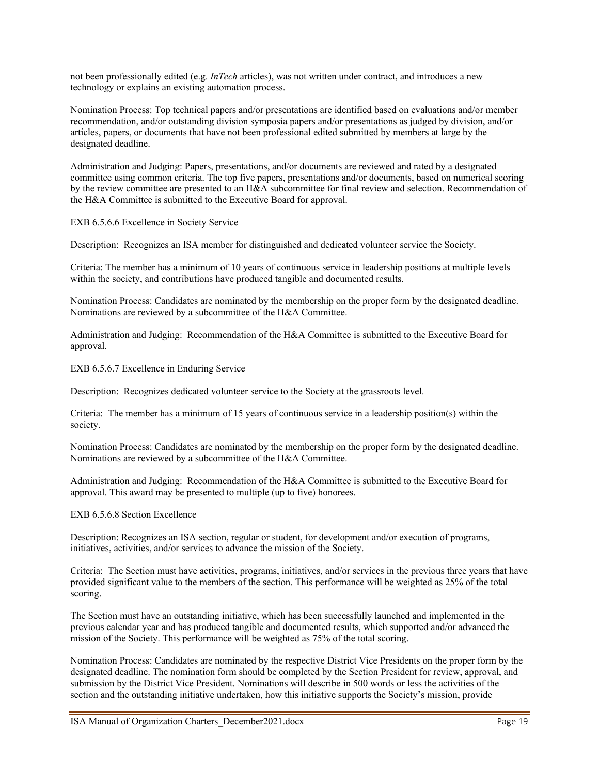not been professionally edited (e.g. *InTech* articles), was not written under contract, and introduces a new technology or explains an existing automation process.

Nomination Process: Top technical papers and/or presentations are identified based on evaluations and/or member recommendation, and/or outstanding division symposia papers and/or presentations as judged by division, and/or articles, papers, or documents that have not been professional edited submitted by members at large by the designated deadline.

Administration and Judging: Papers, presentations, and/or documents are reviewed and rated by a designated committee using common criteria. The top five papers, presentations and/or documents, based on numerical scoring by the review committee are presented to an H&A subcommittee for final review and selection. Recommendation of the H&A Committee is submitted to the Executive Board for approval.

EXB 6.5.6.6 Excellence in Society Service

Description: Recognizes an ISA member for distinguished and dedicated volunteer service the Society.

Criteria: The member has a minimum of 10 years of continuous service in leadership positions at multiple levels within the society, and contributions have produced tangible and documented results.

Nomination Process: Candidates are nominated by the membership on the proper form by the designated deadline. Nominations are reviewed by a subcommittee of the H&A Committee.

Administration and Judging: Recommendation of the H&A Committee is submitted to the Executive Board for approval.

EXB 6.5.6.7 Excellence in Enduring Service

Description: Recognizes dedicated volunteer service to the Society at the grassroots level.

Criteria: The member has a minimum of 15 years of continuous service in a leadership position(s) within the society.

Nomination Process: Candidates are nominated by the membership on the proper form by the designated deadline. Nominations are reviewed by a subcommittee of the H&A Committee.

Administration and Judging: Recommendation of the H&A Committee is submitted to the Executive Board for approval. This award may be presented to multiple (up to five) honorees.

EXB 6.5.6.8 Section Excellence

Description: Recognizes an ISA section, regular or student, for development and/or execution of programs, initiatives, activities, and/or services to advance the mission of the Society.

Criteria: The Section must have activities, programs, initiatives, and/or services in the previous three years that have provided significant value to the members of the section. This performance will be weighted as 25% of the total scoring.

The Section must have an outstanding initiative, which has been successfully launched and implemented in the previous calendar year and has produced tangible and documented results, which supported and/or advanced the mission of the Society. This performance will be weighted as 75% of the total scoring.

Nomination Process: Candidates are nominated by the respective District Vice Presidents on the proper form by the designated deadline. The nomination form should be completed by the Section President for review, approval, and submission by the District Vice President. Nominations will describe in 500 words or less the activities of the section and the outstanding initiative undertaken, how this initiative supports the Society's mission, provide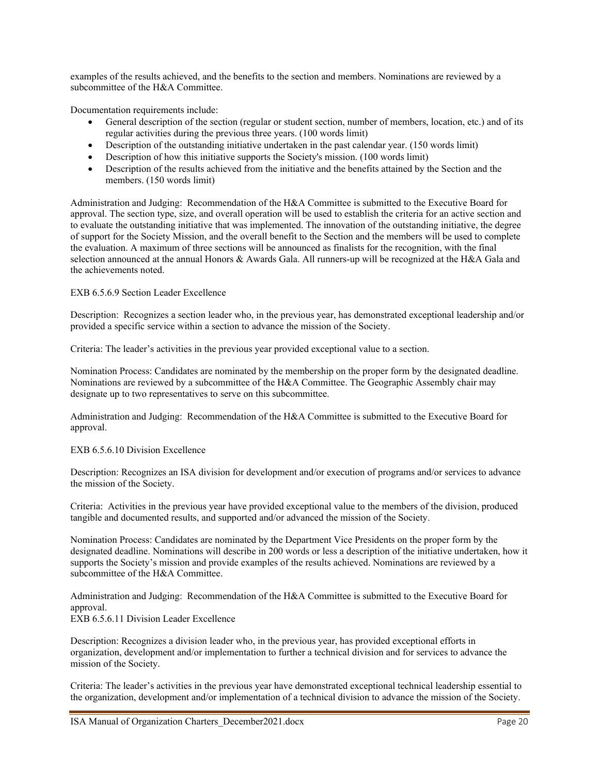examples of the results achieved, and the benefits to the section and members. Nominations are reviewed by a subcommittee of the H&A Committee.

Documentation requirements include:

- General description of the section (regular or student section, number of members, location, etc.) and of its regular activities during the previous three years. (100 words limit)
- Description of the outstanding initiative undertaken in the past calendar year. (150 words limit)
- Description of how this initiative supports the Society's mission. (100 words limit)
- Description of the results achieved from the initiative and the benefits attained by the Section and the members. (150 words limit)

Administration and Judging: Recommendation of the H&A Committee is submitted to the Executive Board for approval. The section type, size, and overall operation will be used to establish the criteria for an active section and to evaluate the outstanding initiative that was implemented. The innovation of the outstanding initiative, the degree of support for the Society Mission, and the overall benefit to the Section and the members will be used to complete the evaluation. A maximum of three sections will be announced as finalists for the recognition, with the final selection announced at the annual Honors & Awards Gala. All runners-up will be recognized at the H&A Gala and the achievements noted.

#### EXB 6.5.6.9 Section Leader Excellence

Description: Recognizes a section leader who, in the previous year, has demonstrated exceptional leadership and/or provided a specific service within a section to advance the mission of the Society.

Criteria: The leader's activities in the previous year provided exceptional value to a section.

Nomination Process: Candidates are nominated by the membership on the proper form by the designated deadline. Nominations are reviewed by a subcommittee of the H&A Committee. The Geographic Assembly chair may designate up to two representatives to serve on this subcommittee.

Administration and Judging: Recommendation of the H&A Committee is submitted to the Executive Board for approval.

#### EXB 6.5.6.10 Division Excellence

Description: Recognizes an ISA division for development and/or execution of programs and/or services to advance the mission of the Society.

Criteria: Activities in the previous year have provided exceptional value to the members of the division, produced tangible and documented results, and supported and/or advanced the mission of the Society.

Nomination Process: Candidates are nominated by the Department Vice Presidents on the proper form by the designated deadline. Nominations will describe in 200 words or less a description of the initiative undertaken, how it supports the Society's mission and provide examples of the results achieved. Nominations are reviewed by a subcommittee of the H&A Committee.

Administration and Judging: Recommendation of the H&A Committee is submitted to the Executive Board for approval.

EXB 6.5.6.11 Division Leader Excellence

Description: Recognizes a division leader who, in the previous year, has provided exceptional efforts in organization, development and/or implementation to further a technical division and for services to advance the mission of the Society.

Criteria: The leader's activities in the previous year have demonstrated exceptional technical leadership essential to the organization, development and/or implementation of a technical division to advance the mission of the Society.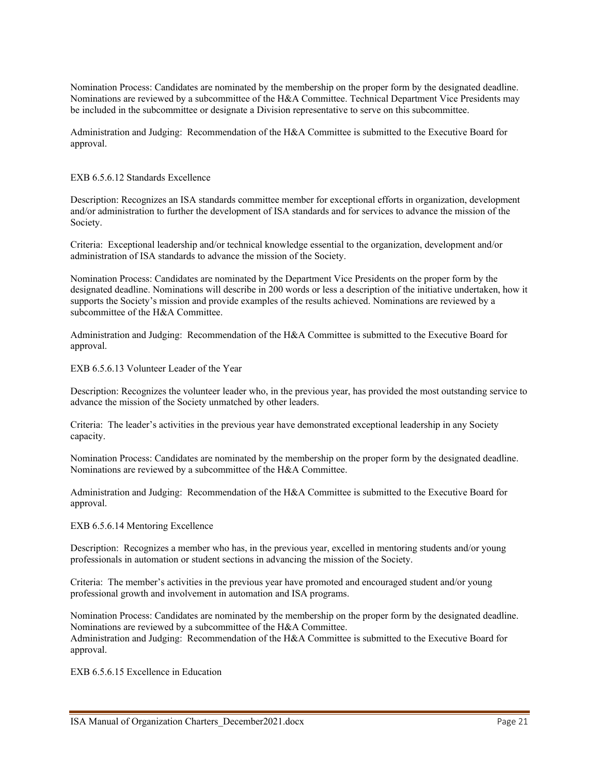Nomination Process: Candidates are nominated by the membership on the proper form by the designated deadline. Nominations are reviewed by a subcommittee of the H&A Committee. Technical Department Vice Presidents may be included in the subcommittee or designate a Division representative to serve on this subcommittee.

Administration and Judging: Recommendation of the H&A Committee is submitted to the Executive Board for approval.

EXB 6.5.6.12 Standards Excellence

Description: Recognizes an ISA standards committee member for exceptional efforts in organization, development and/or administration to further the development of ISA standards and for services to advance the mission of the Society.

Criteria: Exceptional leadership and/or technical knowledge essential to the organization, development and/or administration of ISA standards to advance the mission of the Society.

Nomination Process: Candidates are nominated by the Department Vice Presidents on the proper form by the designated deadline. Nominations will describe in 200 words or less a description of the initiative undertaken, how it supports the Society's mission and provide examples of the results achieved. Nominations are reviewed by a subcommittee of the H&A Committee.

Administration and Judging: Recommendation of the H&A Committee is submitted to the Executive Board for approval.

EXB 6.5.6.13 Volunteer Leader of the Year

Description: Recognizes the volunteer leader who, in the previous year, has provided the most outstanding service to advance the mission of the Society unmatched by other leaders.

Criteria: The leader's activities in the previous year have demonstrated exceptional leadership in any Society capacity.

Nomination Process: Candidates are nominated by the membership on the proper form by the designated deadline. Nominations are reviewed by a subcommittee of the H&A Committee.

Administration and Judging: Recommendation of the H&A Committee is submitted to the Executive Board for approval.

EXB 6.5.6.14 Mentoring Excellence

Description: Recognizes a member who has, in the previous year, excelled in mentoring students and/or young professionals in automation or student sections in advancing the mission of the Society.

Criteria: The member's activities in the previous year have promoted and encouraged student and/or young professional growth and involvement in automation and ISA programs.

Nomination Process: Candidates are nominated by the membership on the proper form by the designated deadline. Nominations are reviewed by a subcommittee of the H&A Committee. Administration and Judging: Recommendation of the H&A Committee is submitted to the Executive Board for approval.

EXB 6.5.6.15 Excellence in Education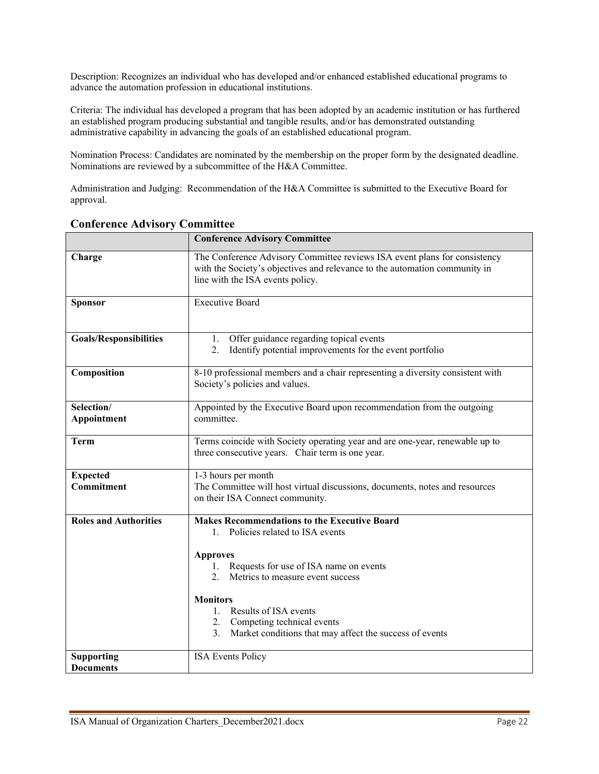Description: Recognizes an individual who has developed and/or enhanced established educational programs to advance the automation profession in educational institutions.

Criteria: The individual has developed a program that has been adopted by an academic institution or has furthered an established program producing substantial and tangible results, and/or has demonstrated outstanding administrative capability in advancing the goals of an established educational program.

Nomination Process: Candidates are nominated by the membership on the proper form by the designated deadline. Nominations are reviewed by a subcommittee of the H&A Committee.

Administration and Judging: Recommendation of the H&A Committee is submitted to the Executive Board for approval.

|                                       | <b>Conference Advisory Committee</b>                                                                                                                                                        |  |
|---------------------------------------|---------------------------------------------------------------------------------------------------------------------------------------------------------------------------------------------|--|
| Charge                                | The Conference Advisory Committee reviews ISA event plans for consistency<br>with the Society's objectives and relevance to the automation community in<br>line with the ISA events policy. |  |
| <b>Sponsor</b>                        | <b>Executive Board</b>                                                                                                                                                                      |  |
| <b>Goals/Responsibilities</b>         | Offer guidance regarding topical events<br>1.<br>Identify potential improvements for the event portfolio<br>2.                                                                              |  |
| Composition                           | 8-10 professional members and a chair representing a diversity consistent with<br>Society's policies and values.                                                                            |  |
| Selection/<br>Appointment             | Appointed by the Executive Board upon recommendation from the outgoing<br>committee.                                                                                                        |  |
| <b>Term</b>                           | Terms coincide with Society operating year and are one-year, renewable up to<br>three consecutive years. Chair term is one year.                                                            |  |
| <b>Expected</b>                       | 1-3 hours per month                                                                                                                                                                         |  |
| Commitment                            | The Committee will host virtual discussions, documents, notes and resources<br>on their ISA Connect community.                                                                              |  |
| <b>Roles and Authorities</b>          | <b>Makes Recommendations to the Executive Board</b><br>1. Policies related to ISA events                                                                                                    |  |
|                                       | <b>Approves</b><br>Requests for use of ISA name on events<br>1.<br>2.<br>Metrics to measure event success                                                                                   |  |
|                                       | <b>Monitors</b><br>Results of ISA events<br>1.<br>2. Competing technical events<br>Market conditions that may affect the success of events<br>3.                                            |  |
| <b>Supporting</b><br><b>Documents</b> | <b>ISA Events Policy</b>                                                                                                                                                                    |  |

### <span id="page-21-0"></span>**Conference Advisory Committee**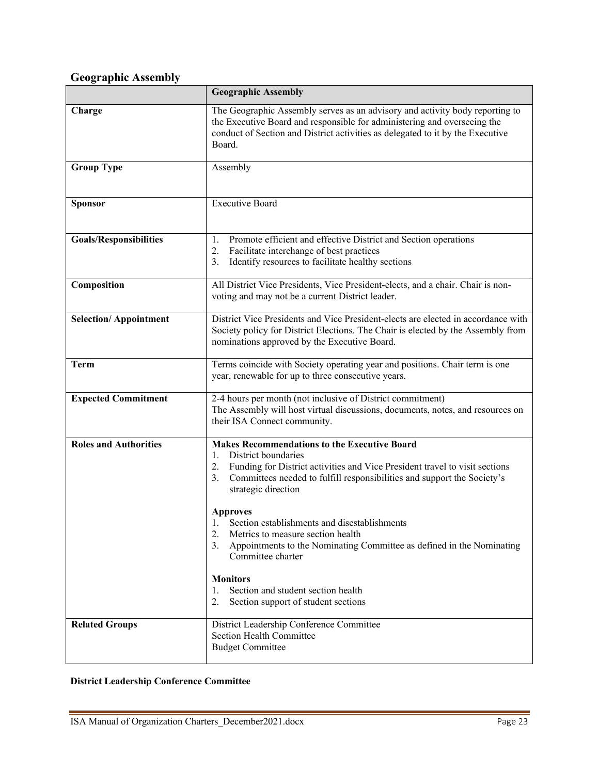# <span id="page-22-0"></span>**Geographic Assembly**

|                               | <b>Geographic Assembly</b>                                                                                                                                                                                                                                                                                                                                                                                                                                                                                                                                                                                     |  |
|-------------------------------|----------------------------------------------------------------------------------------------------------------------------------------------------------------------------------------------------------------------------------------------------------------------------------------------------------------------------------------------------------------------------------------------------------------------------------------------------------------------------------------------------------------------------------------------------------------------------------------------------------------|--|
| Charge                        | The Geographic Assembly serves as an advisory and activity body reporting to<br>the Executive Board and responsible for administering and overseeing the<br>conduct of Section and District activities as delegated to it by the Executive<br>Board.                                                                                                                                                                                                                                                                                                                                                           |  |
| <b>Group Type</b>             | Assembly                                                                                                                                                                                                                                                                                                                                                                                                                                                                                                                                                                                                       |  |
| <b>Sponsor</b>                | <b>Executive Board</b>                                                                                                                                                                                                                                                                                                                                                                                                                                                                                                                                                                                         |  |
| <b>Goals/Responsibilities</b> | Promote efficient and effective District and Section operations<br>1.<br>2.<br>Facilitate interchange of best practices<br>Identify resources to facilitate healthy sections<br>3.                                                                                                                                                                                                                                                                                                                                                                                                                             |  |
| Composition                   | All District Vice Presidents, Vice President-elects, and a chair. Chair is non-<br>voting and may not be a current District leader.                                                                                                                                                                                                                                                                                                                                                                                                                                                                            |  |
| <b>Selection/Appointment</b>  | District Vice Presidents and Vice President-elects are elected in accordance with<br>Society policy for District Elections. The Chair is elected by the Assembly from<br>nominations approved by the Executive Board.                                                                                                                                                                                                                                                                                                                                                                                          |  |
| <b>Term</b>                   | Terms coincide with Society operating year and positions. Chair term is one<br>year, renewable for up to three consecutive years.                                                                                                                                                                                                                                                                                                                                                                                                                                                                              |  |
| <b>Expected Commitment</b>    | 2-4 hours per month (not inclusive of District commitment)<br>The Assembly will host virtual discussions, documents, notes, and resources on<br>their ISA Connect community.                                                                                                                                                                                                                                                                                                                                                                                                                                   |  |
| <b>Roles and Authorities</b>  | <b>Makes Recommendations to the Executive Board</b><br>District boundaries<br>1.<br>Funding for District activities and Vice President travel to visit sections<br>2.<br>Committees needed to fulfill responsibilities and support the Society's<br>3.<br>strategic direction<br><b>Approves</b><br>1. Section establishments and disestablishments<br>Metrics to measure section health<br>2.<br>3.<br>Appointments to the Nominating Committee as defined in the Nominating<br>Committee charter<br><b>Monitors</b><br>Section and student section health<br>1.<br>2.<br>Section support of student sections |  |
| <b>Related Groups</b>         | District Leadership Conference Committee<br>Section Health Committee<br><b>Budget Committee</b>                                                                                                                                                                                                                                                                                                                                                                                                                                                                                                                |  |

## <span id="page-22-1"></span>**District Leadership Conference Committee**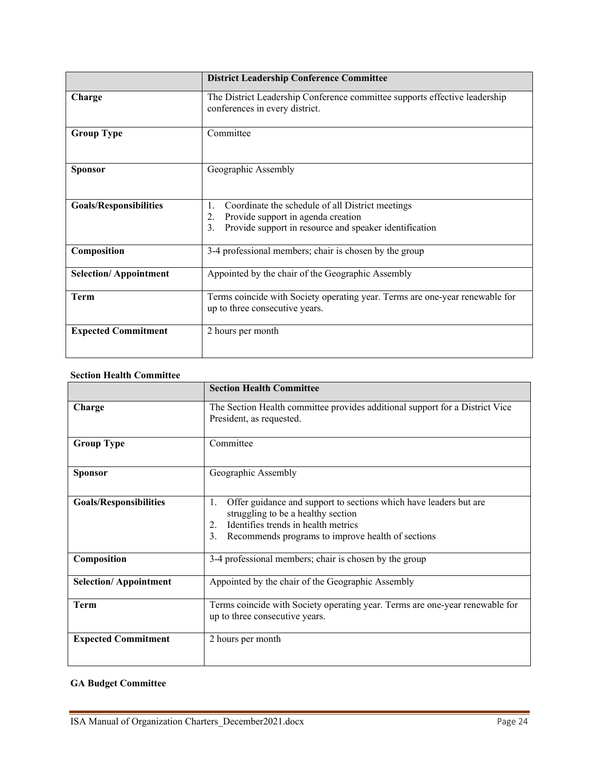|                               | <b>District Leadership Conference Committee</b>                                                                                                                    |
|-------------------------------|--------------------------------------------------------------------------------------------------------------------------------------------------------------------|
| Charge                        | The District Leadership Conference committee supports effective leadership<br>conferences in every district.                                                       |
| <b>Group Type</b>             | Committee                                                                                                                                                          |
| <b>Sponsor</b>                | Geographic Assembly                                                                                                                                                |
| <b>Goals/Responsibilities</b> | Coordinate the schedule of all District meetings<br>1.<br>Provide support in agenda creation<br>2.<br>Provide support in resource and speaker identification<br>3. |
| Composition                   | 3-4 professional members; chair is chosen by the group                                                                                                             |
| <b>Selection/Appointment</b>  | Appointed by the chair of the Geographic Assembly                                                                                                                  |
| <b>Term</b>                   | Terms coincide with Society operating year. Terms are one-year renewable for<br>up to three consecutive years.                                                     |
| <b>Expected Commitment</b>    | 2 hours per month                                                                                                                                                  |

#### <span id="page-23-0"></span>**Section Health Committee**

|                               | <b>Section Health Committee</b>                                                                                                                                                                                       |
|-------------------------------|-----------------------------------------------------------------------------------------------------------------------------------------------------------------------------------------------------------------------|
| Charge                        | The Section Health committee provides additional support for a District Vice<br>President, as requested.                                                                                                              |
| <b>Group Type</b>             | Committee                                                                                                                                                                                                             |
| <b>Sponsor</b>                | Geographic Assembly                                                                                                                                                                                                   |
| <b>Goals/Responsibilities</b> | Offer guidance and support to sections which have leaders but are<br>1.<br>struggling to be a healthy section<br>Identifies trends in health metrics<br>2.<br>Recommends programs to improve health of sections<br>3. |
| Composition                   | 3-4 professional members; chair is chosen by the group                                                                                                                                                                |
| <b>Selection/Appointment</b>  | Appointed by the chair of the Geographic Assembly                                                                                                                                                                     |
| Term                          | Terms coincide with Society operating year. Terms are one-year renewable for<br>up to three consecutive years.                                                                                                        |
| <b>Expected Commitment</b>    | 2 hours per month                                                                                                                                                                                                     |

## <span id="page-23-1"></span>**GA Budget Committee**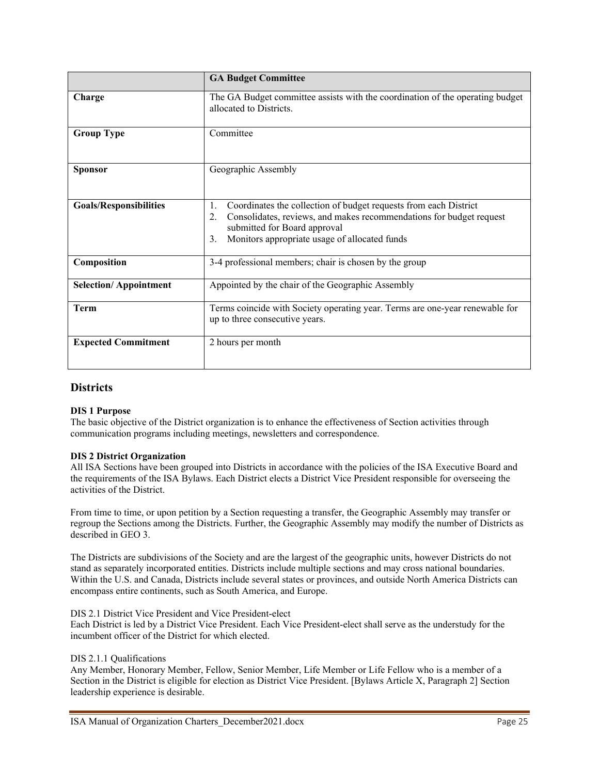|                               | <b>GA Budget Committee</b>                                                                                                                                                                                                                 |
|-------------------------------|--------------------------------------------------------------------------------------------------------------------------------------------------------------------------------------------------------------------------------------------|
| Charge                        | The GA Budget committee assists with the coordination of the operating budget<br>allocated to Districts.                                                                                                                                   |
| <b>Group Type</b>             | Committee                                                                                                                                                                                                                                  |
| <b>Sponsor</b>                | Geographic Assembly                                                                                                                                                                                                                        |
| <b>Goals/Responsibilities</b> | Coordinates the collection of budget requests from each District<br>1.<br>Consolidates, reviews, and makes recommendations for budget request<br>2.<br>submitted for Board approval<br>Monitors appropriate usage of allocated funds<br>3. |
| Composition                   | 3-4 professional members; chair is chosen by the group                                                                                                                                                                                     |
| <b>Selection/Appointment</b>  | Appointed by the chair of the Geographic Assembly                                                                                                                                                                                          |
| <b>Term</b>                   | Terms coincide with Society operating year. Terms are one-year renewable for<br>up to three consecutive years.                                                                                                                             |
| <b>Expected Commitment</b>    | 2 hours per month                                                                                                                                                                                                                          |

#### <span id="page-24-0"></span>**Districts**

#### **DIS 1 Purpose**

The basic objective of the District organization is to enhance the effectiveness of Section activities through communication programs including meetings, newsletters and correspondence.

#### **DIS 2 District Organization**

All ISA Sections have been grouped into Districts in accordance with the policies of the ISA Executive Board and the requirements of the ISA Bylaws. Each District elects a District Vice President responsible for overseeing the activities of the District.

From time to time, or upon petition by a Section requesting a transfer, the Geographic Assembly may transfer or regroup the Sections among the Districts. Further, the Geographic Assembly may modify the number of Districts as described in GEO 3.

The Districts are subdivisions of the Society and are the largest of the geographic units, however Districts do not stand as separately incorporated entities. Districts include multiple sections and may cross national boundaries. Within the U.S. and Canada, Districts include several states or provinces, and outside North America Districts can encompass entire continents, such as South America, and Europe.

#### DIS 2.1 District Vice President and Vice President-elect

Each District is led by a District Vice President. Each Vice President-elect shall serve as the understudy for the incumbent officer of the District for which elected.

#### DIS 2.1.1 Qualifications

Any Member, Honorary Member, Fellow, Senior Member, Life Member or Life Fellow who is a member of a Section in the District is eligible for election as District Vice President. [Bylaws Article X, Paragraph 2] Section leadership experience is desirable.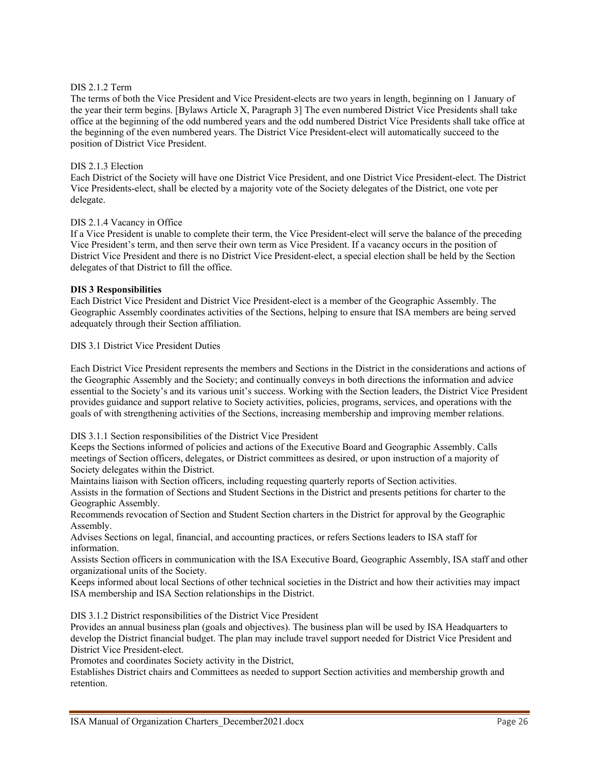#### DIS 2.1.2 Term

The terms of both the Vice President and Vice President-elects are two years in length, beginning on 1 January of the year their term begins. [Bylaws Article X, Paragraph 3] The even numbered District Vice Presidents shall take office at the beginning of the odd numbered years and the odd numbered District Vice Presidents shall take office at the beginning of the even numbered years. The District Vice President-elect will automatically succeed to the position of District Vice President.

#### DIS 2.1.3 Election

Each District of the Society will have one District Vice President, and one District Vice President-elect. The District Vice Presidents-elect, shall be elected by a majority vote of the Society delegates of the District, one vote per delegate.

#### DIS 2.1.4 Vacancy in Office

If a Vice President is unable to complete their term, the Vice President-elect will serve the balance of the preceding Vice President's term, and then serve their own term as Vice President. If a vacancy occurs in the position of District Vice President and there is no District Vice President-elect, a special election shall be held by the Section delegates of that District to fill the office.

#### **DIS 3 Responsibilities**

Each District Vice President and District Vice President-elect is a member of the Geographic Assembly. The Geographic Assembly coordinates activities of the Sections, helping to ensure that ISA members are being served adequately through their Section affiliation.

#### DIS 3.1 District Vice President Duties

Each District Vice President represents the members and Sections in the District in the considerations and actions of the Geographic Assembly and the Society; and continually conveys in both directions the information and advice essential to the Society's and its various unit's success. Working with the Section leaders, the District Vice President provides guidance and support relative to Society activities, policies, programs, services, and operations with the goals of with strengthening activities of the Sections, increasing membership and improving member relations.

#### DIS 3.1.1 Section responsibilities of the District Vice President

Keeps the Sections informed of policies and actions of the Executive Board and Geographic Assembly. Calls meetings of Section officers, delegates, or District committees as desired, or upon instruction of a majority of Society delegates within the District.

Maintains liaison with Section officers, including requesting quarterly reports of Section activities.

Assists in the formation of Sections and Student Sections in the District and presents petitions for charter to the Geographic Assembly.

Recommends revocation of Section and Student Section charters in the District for approval by the Geographic Assembly.

Advises Sections on legal, financial, and accounting practices, or refers Sections leaders to ISA staff for information.

Assists Section officers in communication with the ISA Executive Board, Geographic Assembly, ISA staff and other organizational units of the Society.

Keeps informed about local Sections of other technical societies in the District and how their activities may impact ISA membership and ISA Section relationships in the District.

DIS 3.1.2 District responsibilities of the District Vice President

Provides an annual business plan (goals and objectives). The business plan will be used by ISA Headquarters to develop the District financial budget. The plan may include travel support needed for District Vice President and District Vice President-elect.

Promotes and coordinates Society activity in the District,

Establishes District chairs and Committees as needed to support Section activities and membership growth and retention.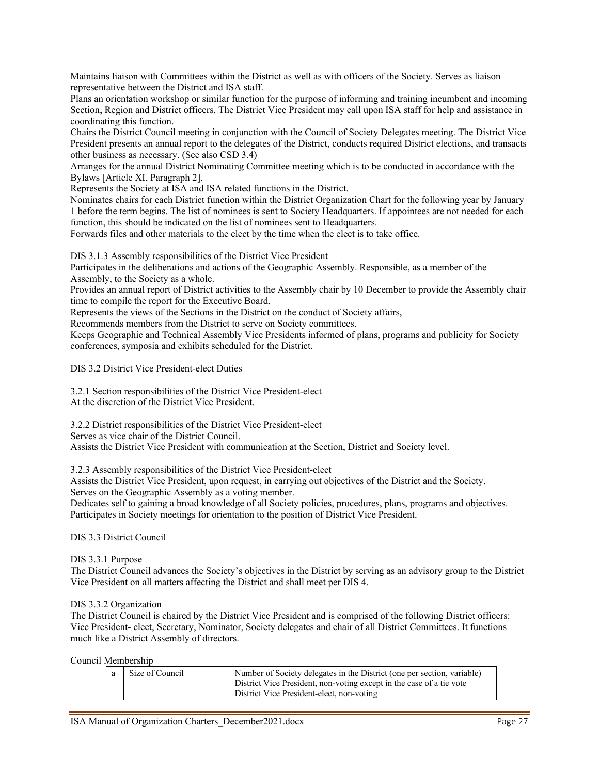Maintains liaison with Committees within the District as well as with officers of the Society. Serves as liaison representative between the District and ISA staff.

Plans an orientation workshop or similar function for the purpose of informing and training incumbent and incoming Section, Region and District officers. The District Vice President may call upon ISA staff for help and assistance in coordinating this function.

Chairs the District Council meeting in conjunction with the Council of Society Delegates meeting. The District Vice President presents an annual report to the delegates of the District, conducts required District elections, and transacts other business as necessary. (See also CSD 3.4)

Arranges for the annual District Nominating Committee meeting which is to be conducted in accordance with the Bylaws [Article XI, Paragraph 2].

Represents the Society at ISA and ISA related functions in the District.

Nominates chairs for each District function within the District Organization Chart for the following year by January 1 before the term begins. The list of nominees is sent to Society Headquarters. If appointees are not needed for each function, this should be indicated on the list of nominees sent to Headquarters.

Forwards files and other materials to the elect by the time when the elect is to take office.

DIS 3.1.3 Assembly responsibilities of the District Vice President

Participates in the deliberations and actions of the Geographic Assembly. Responsible, as a member of the Assembly, to the Society as a whole.

Provides an annual report of District activities to the Assembly chair by 10 December to provide the Assembly chair time to compile the report for the Executive Board.

Represents the views of the Sections in the District on the conduct of Society affairs,

Recommends members from the District to serve on Society committees.

Keeps Geographic and Technical Assembly Vice Presidents informed of plans, programs and publicity for Society conferences, symposia and exhibits scheduled for the District.

DIS 3.2 District Vice President-elect Duties

3.2.1 Section responsibilities of the District Vice President-elect At the discretion of the District Vice President.

3.2.2 District responsibilities of the District Vice President-elect

Serves as vice chair of the District Council.

Assists the District Vice President with communication at the Section, District and Society level.

3.2.3 Assembly responsibilities of the District Vice President-elect

Assists the District Vice President, upon request, in carrying out objectives of the District and the Society. Serves on the Geographic Assembly as a voting member.

Dedicates self to gaining a broad knowledge of all Society policies, procedures, plans, programs and objectives. Participates in Society meetings for orientation to the position of District Vice President.

DIS 3.3 District Council

DIS 3.3.1 Purpose

The District Council advances the Society's objectives in the District by serving as an advisory group to the District Vice President on all matters affecting the District and shall meet per DIS 4.

#### DIS 3.3.2 Organization

The District Council is chaired by the District Vice President and is comprised of the following District officers: Vice President- elect, Secretary, Nominator, Society delegates and chair of all District Committees. It functions much like a District Assembly of directors.

Council Membership

|  | Size of Council | Number of Society delegates in the District (one per section, variable)<br>District Vice President, non-voting except in the case of a tie vote<br>District Vice President-elect, non-voting |
|--|-----------------|----------------------------------------------------------------------------------------------------------------------------------------------------------------------------------------------|
|--|-----------------|----------------------------------------------------------------------------------------------------------------------------------------------------------------------------------------------|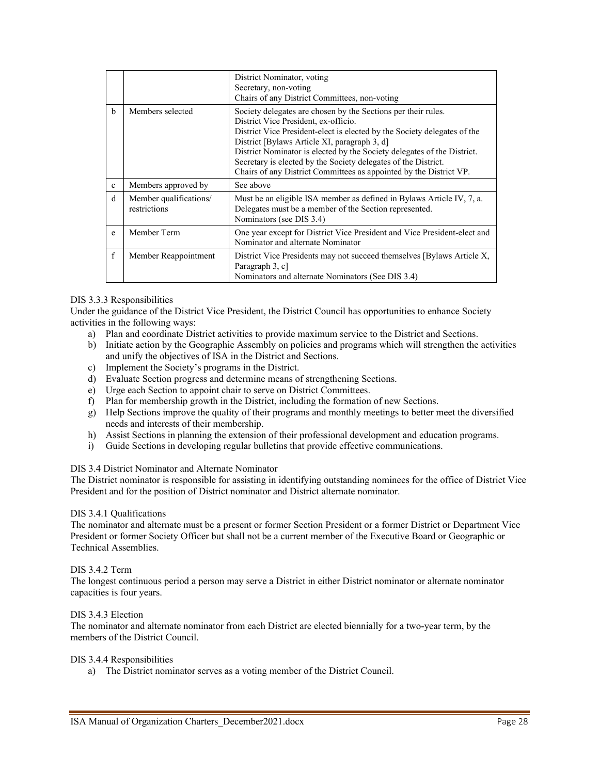|              |                                        | District Nominator, voting<br>Secretary, non-voting<br>Chairs of any District Committees, non-voting                                                                                                                                                                                                                                                                                                                                                 |
|--------------|----------------------------------------|------------------------------------------------------------------------------------------------------------------------------------------------------------------------------------------------------------------------------------------------------------------------------------------------------------------------------------------------------------------------------------------------------------------------------------------------------|
| b            | Members selected                       | Society delegates are chosen by the Sections per their rules.<br>District Vice President, ex-officio.<br>District Vice President-elect is elected by the Society delegates of the<br>District [Bylaws Article XI, paragraph 3, d]<br>District Nominator is elected by the Society delegates of the District.<br>Secretary is elected by the Society delegates of the District.<br>Chairs of any District Committees as appointed by the District VP. |
| $\mathbf{c}$ | Members approved by                    | See above                                                                                                                                                                                                                                                                                                                                                                                                                                            |
| d            | Member qualifications/<br>restrictions | Must be an eligible ISA member as defined in Bylaws Article IV, 7, a.<br>Delegates must be a member of the Section represented.<br>Nominators (see DIS 3.4)                                                                                                                                                                                                                                                                                          |
| e            | Member Term                            | One year except for District Vice President and Vice President-elect and<br>Nominator and alternate Nominator                                                                                                                                                                                                                                                                                                                                        |
| $\mathbf{f}$ | Member Reappointment                   | District Vice Presidents may not succeed themselves [Bylaws Article X,<br>Paragraph 3, c]<br>Nominators and alternate Nominators (See DIS 3.4)                                                                                                                                                                                                                                                                                                       |

#### DIS 3.3.3 Responsibilities

Under the guidance of the District Vice President, the District Council has opportunities to enhance Society activities in the following ways:

- a) Plan and coordinate District activities to provide maximum service to the District and Sections.
- b) Initiate action by the Geographic Assembly on policies and programs which will strengthen the activities and unify the objectives of ISA in the District and Sections.
- c) Implement the Society's programs in the District.
- d) Evaluate Section progress and determine means of strengthening Sections.
- e) Urge each Section to appoint chair to serve on District Committees.
- f) Plan for membership growth in the District, including the formation of new Sections.
- g) Help Sections improve the quality of their programs and monthly meetings to better meet the diversified needs and interests of their membership.
- h) Assist Sections in planning the extension of their professional development and education programs.
- i) Guide Sections in developing regular bulletins that provide effective communications.

#### DIS 3.4 District Nominator and Alternate Nominator

The District nominator is responsible for assisting in identifying outstanding nominees for the office of District Vice President and for the position of District nominator and District alternate nominator.

#### DIS 3.4.1 Qualifications

The nominator and alternate must be a present or former Section President or a former District or Department Vice President or former Society Officer but shall not be a current member of the Executive Board or Geographic or Technical Assemblies.

#### DIS 3.4.2 Term

The longest continuous period a person may serve a District in either District nominator or alternate nominator capacities is four years.

#### DIS 3.4.3 Election

The nominator and alternate nominator from each District are elected biennially for a two-year term, by the members of the District Council.

#### DIS 3.4.4 Responsibilities

a) The District nominator serves as a voting member of the District Council.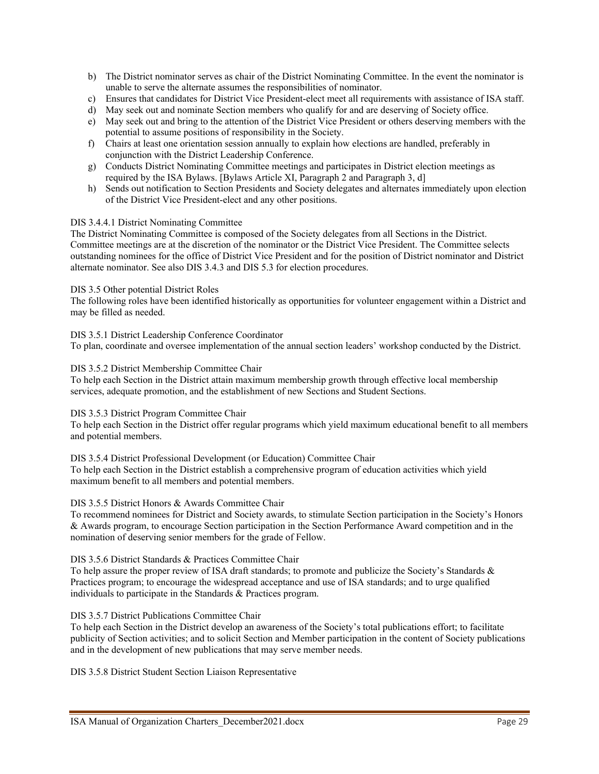- b) The District nominator serves as chair of the District Nominating Committee. In the event the nominator is unable to serve the alternate assumes the responsibilities of nominator.
- c) Ensures that candidates for District Vice President-elect meet all requirements with assistance of ISA staff.
- d) May seek out and nominate Section members who qualify for and are deserving of Society office.
- e) May seek out and bring to the attention of the District Vice President or others deserving members with the potential to assume positions of responsibility in the Society.
- f) Chairs at least one orientation session annually to explain how elections are handled, preferably in conjunction with the District Leadership Conference.
- g) Conducts District Nominating Committee meetings and participates in District election meetings as required by the ISA Bylaws. [Bylaws Article XI, Paragraph 2 and Paragraph 3, d]
- h) Sends out notification to Section Presidents and Society delegates and alternates immediately upon election of the District Vice President-elect and any other positions.

#### DIS 3.4.4.1 District Nominating Committee

The District Nominating Committee is composed of the Society delegates from all Sections in the District. Committee meetings are at the discretion of the nominator or the District Vice President. The Committee selects outstanding nominees for the office of District Vice President and for the position of District nominator and District alternate nominator. See also DIS 3.4.3 and DIS 5.3 for election procedures.

#### DIS 3.5 Other potential District Roles

The following roles have been identified historically as opportunities for volunteer engagement within a District and may be filled as needed.

DIS 3.5.1 District Leadership Conference Coordinator

To plan, coordinate and oversee implementation of the annual section leaders' workshop conducted by the District.

#### DIS 3.5.2 District Membership Committee Chair

To help each Section in the District attain maximum membership growth through effective local membership services, adequate promotion, and the establishment of new Sections and Student Sections.

#### DIS 3.5.3 District Program Committee Chair

To help each Section in the District offer regular programs which yield maximum educational benefit to all members and potential members.

#### DIS 3.5.4 District Professional Development (or Education) Committee Chair

To help each Section in the District establish a comprehensive program of education activities which yield maximum benefit to all members and potential members.

#### DIS 3.5.5 District Honors & Awards Committee Chair

To recommend nominees for District and Society awards, to stimulate Section participation in the Society's Honors & Awards program, to encourage Section participation in the Section Performance Award competition and in the nomination of deserving senior members for the grade of Fellow.

#### DIS 3.5.6 District Standards & Practices Committee Chair

To help assure the proper review of ISA draft standards; to promote and publicize the Society's Standards & Practices program; to encourage the widespread acceptance and use of ISA standards; and to urge qualified individuals to participate in the Standards & Practices program.

#### DIS 3.5.7 District Publications Committee Chair

To help each Section in the District develop an awareness of the Society's total publications effort; to facilitate publicity of Section activities; and to solicit Section and Member participation in the content of Society publications and in the development of new publications that may serve member needs.

DIS 3.5.8 District Student Section Liaison Representative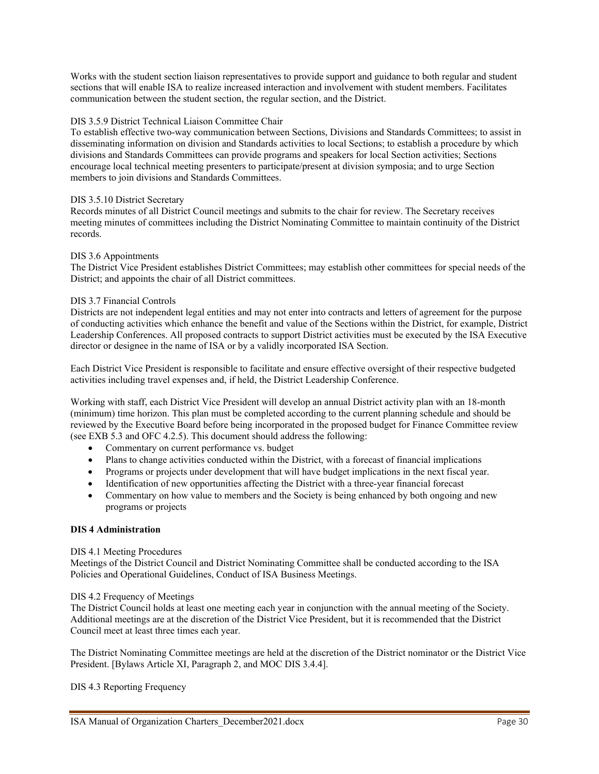Works with the student section liaison representatives to provide support and guidance to both regular and student sections that will enable ISA to realize increased interaction and involvement with student members. Facilitates communication between the student section, the regular section, and the District.

#### DIS 3.5.9 District Technical Liaison Committee Chair

To establish effective two-way communication between Sections, Divisions and Standards Committees; to assist in disseminating information on division and Standards activities to local Sections; to establish a procedure by which divisions and Standards Committees can provide programs and speakers for local Section activities; Sections encourage local technical meeting presenters to participate/present at division symposia; and to urge Section members to join divisions and Standards Committees.

#### DIS 3.5.10 District Secretary

Records minutes of all District Council meetings and submits to the chair for review. The Secretary receives meeting minutes of committees including the District Nominating Committee to maintain continuity of the District records.

#### DIS 3.6 Appointments

The District Vice President establishes District Committees; may establish other committees for special needs of the District; and appoints the chair of all District committees.

#### DIS 3.7 Financial Controls

Districts are not independent legal entities and may not enter into contracts and letters of agreement for the purpose of conducting activities which enhance the benefit and value of the Sections within the District, for example, District Leadership Conferences. All proposed contracts to support District activities must be executed by the ISA Executive director or designee in the name of ISA or by a validly incorporated ISA Section.

Each District Vice President is responsible to facilitate and ensure effective oversight of their respective budgeted activities including travel expenses and, if held, the District Leadership Conference.

Working with staff, each District Vice President will develop an annual District activity plan with an 18-month (minimum) time horizon. This plan must be completed according to the current planning schedule and should be reviewed by the Executive Board before being incorporated in the proposed budget for Finance Committee review (see EXB 5.3 and OFC 4.2.5). This document should address the following:

- Commentary on current performance vs. budget
- Plans to change activities conducted within the District, with a forecast of financial implications
- Programs or projects under development that will have budget implications in the next fiscal year.
- Identification of new opportunities affecting the District with a three-year financial forecast
- Commentary on how value to members and the Society is being enhanced by both ongoing and new programs or projects

#### **DIS 4 Administration**

#### DIS 4.1 Meeting Procedures

Meetings of the District Council and District Nominating Committee shall be conducted according to the ISA Policies and Operational Guidelines, Conduct of ISA Business Meetings.

#### DIS 4.2 Frequency of Meetings

The District Council holds at least one meeting each year in conjunction with the annual meeting of the Society. Additional meetings are at the discretion of the District Vice President, but it is recommended that the District Council meet at least three times each year.

The District Nominating Committee meetings are held at the discretion of the District nominator or the District Vice President. [Bylaws Article XI, Paragraph 2, and MOC DIS 3.4.4].

DIS 4.3 Reporting Frequency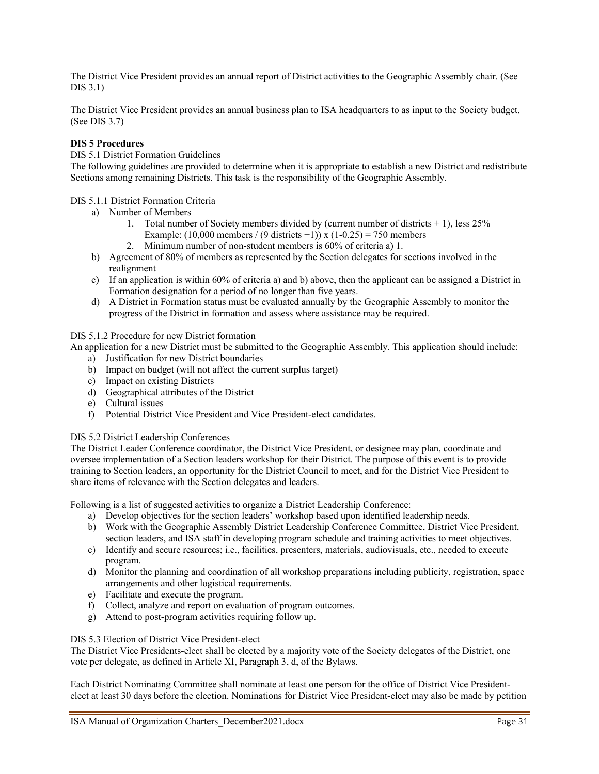The District Vice President provides an annual report of District activities to the Geographic Assembly chair. (See DIS 3.1)

The District Vice President provides an annual business plan to ISA headquarters to as input to the Society budget. (See DIS 3.7)

#### **DIS 5 Procedures**

#### DIS 5.1 District Formation Guidelines

The following guidelines are provided to determine when it is appropriate to establish a new District and redistribute Sections among remaining Districts. This task is the responsibility of the Geographic Assembly.

#### DIS 5.1.1 District Formation Criteria

- a) Number of Members
	- 1. Total number of Society members divided by (current number of districts + 1), less 25% Example:  $(10,000 \text{ members} / (9 \text{ districts} + 1))$  x  $(1 - 0.25) = 750 \text{ members}$
	- 2. Minimum number of non-student members is 60% of criteria a) 1.
- b) Agreement of 80% of members as represented by the Section delegates for sections involved in the realignment
- c) If an application is within 60% of criteria a) and b) above, then the applicant can be assigned a District in Formation designation for a period of no longer than five years.
- d) A District in Formation status must be evaluated annually by the Geographic Assembly to monitor the progress of the District in formation and assess where assistance may be required.

#### DIS 5.1.2 Procedure for new District formation

An application for a new District must be submitted to the Geographic Assembly. This application should include:

- a) Justification for new District boundaries
- b) Impact on budget (will not affect the current surplus target)
- c) Impact on existing Districts
- d) Geographical attributes of the District
- e) Cultural issues
- f) Potential District Vice President and Vice President-elect candidates.

#### DIS 5.2 District Leadership Conferences

The District Leader Conference coordinator, the District Vice President, or designee may plan, coordinate and oversee implementation of a Section leaders workshop for their District. The purpose of this event is to provide training to Section leaders, an opportunity for the District Council to meet, and for the District Vice President to share items of relevance with the Section delegates and leaders.

Following is a list of suggested activities to organize a District Leadership Conference:

- a) Develop objectives for the section leaders' workshop based upon identified leadership needs.
- b) Work with the Geographic Assembly District Leadership Conference Committee, District Vice President, section leaders, and ISA staff in developing program schedule and training activities to meet objectives.
- c) Identify and secure resources; i.e., facilities, presenters, materials, audiovisuals, etc., needed to execute program.
- d) Monitor the planning and coordination of all workshop preparations including publicity, registration, space arrangements and other logistical requirements.
- e) Facilitate and execute the program.
- f) Collect, analyze and report on evaluation of program outcomes.
- g) Attend to post-program activities requiring follow up.

#### DIS 5.3 Election of District Vice President-elect

The District Vice Presidents-elect shall be elected by a majority vote of the Society delegates of the District, one vote per delegate, as defined in Article XI, Paragraph 3, d, of the Bylaws.

Each District Nominating Committee shall nominate at least one person for the office of District Vice Presidentelect at least 30 days before the election. Nominations for District Vice President-elect may also be made by petition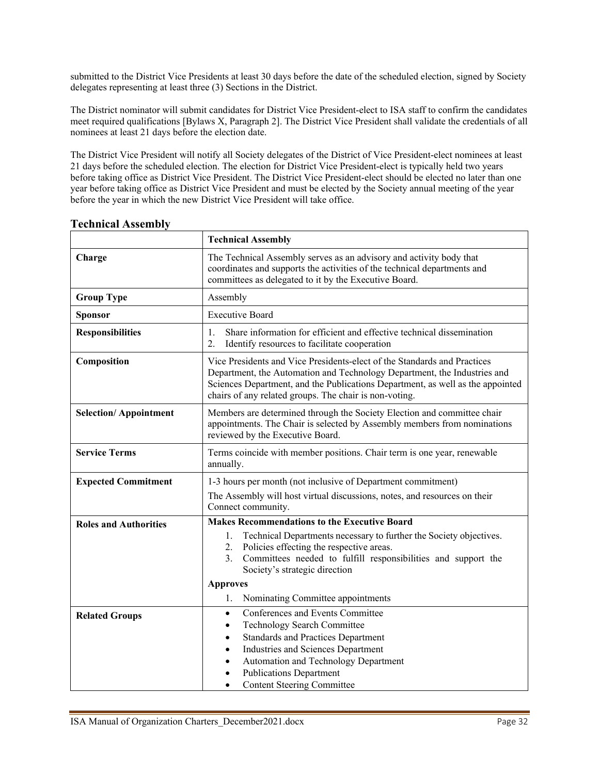submitted to the District Vice Presidents at least 30 days before the date of the scheduled election, signed by Society delegates representing at least three (3) Sections in the District.

The District nominator will submit candidates for District Vice President-elect to ISA staff to confirm the candidates meet required qualifications [Bylaws X, Paragraph 2]. The District Vice President shall validate the credentials of all nominees at least 21 days before the election date.

The District Vice President will notify all Society delegates of the District of Vice President-elect nominees at least 21 days before the scheduled election. The election for District Vice President-elect is typically held two years before taking office as District Vice President. The District Vice President-elect should be elected no later than one year before taking office as District Vice President and must be elected by the Society annual meeting of the year before the year in which the new District Vice President will take office.

|                              | <b>Technical Assembly</b>                                                                                                                                                                                                                                                                                                                               |  |
|------------------------------|---------------------------------------------------------------------------------------------------------------------------------------------------------------------------------------------------------------------------------------------------------------------------------------------------------------------------------------------------------|--|
| Charge                       | The Technical Assembly serves as an advisory and activity body that<br>coordinates and supports the activities of the technical departments and<br>committees as delegated to it by the Executive Board.                                                                                                                                                |  |
| <b>Group Type</b>            | Assembly                                                                                                                                                                                                                                                                                                                                                |  |
| <b>Sponsor</b>               | <b>Executive Board</b>                                                                                                                                                                                                                                                                                                                                  |  |
| <b>Responsibilities</b>      | Share information for efficient and effective technical dissemination<br>1.<br>2.<br>Identify resources to facilitate cooperation                                                                                                                                                                                                                       |  |
| Composition                  | Vice Presidents and Vice Presidents-elect of the Standards and Practices<br>Department, the Automation and Technology Department, the Industries and<br>Sciences Department, and the Publications Department, as well as the appointed<br>chairs of any related groups. The chair is non-voting.                                                        |  |
| <b>Selection/Appointment</b> | Members are determined through the Society Election and committee chair<br>appointments. The Chair is selected by Assembly members from nominations<br>reviewed by the Executive Board.                                                                                                                                                                 |  |
| <b>Service Terms</b>         | Terms coincide with member positions. Chair term is one year, renewable<br>annually.                                                                                                                                                                                                                                                                    |  |
| <b>Expected Commitment</b>   | 1-3 hours per month (not inclusive of Department commitment)<br>The Assembly will host virtual discussions, notes, and resources on their<br>Connect community.                                                                                                                                                                                         |  |
| <b>Roles and Authorities</b> | <b>Makes Recommendations to the Executive Board</b><br>Technical Departments necessary to further the Society objectives.<br>1.<br>Policies effecting the respective areas.<br>2.<br>Committees needed to fulfill responsibilities and support the<br>3.<br>Society's strategic direction<br><b>Approves</b><br>Nominating Committee appointments<br>1. |  |
| <b>Related Groups</b>        | Conferences and Events Committee<br>$\bullet$<br>Technology Search Committee<br>٠<br><b>Standards and Practices Department</b><br>$\bullet$<br>Industries and Sciences Department<br>٠<br>Automation and Technology Department<br><b>Publications Department</b><br><b>Content Steering Committee</b>                                                   |  |

## <span id="page-31-0"></span>**Technical Assembly**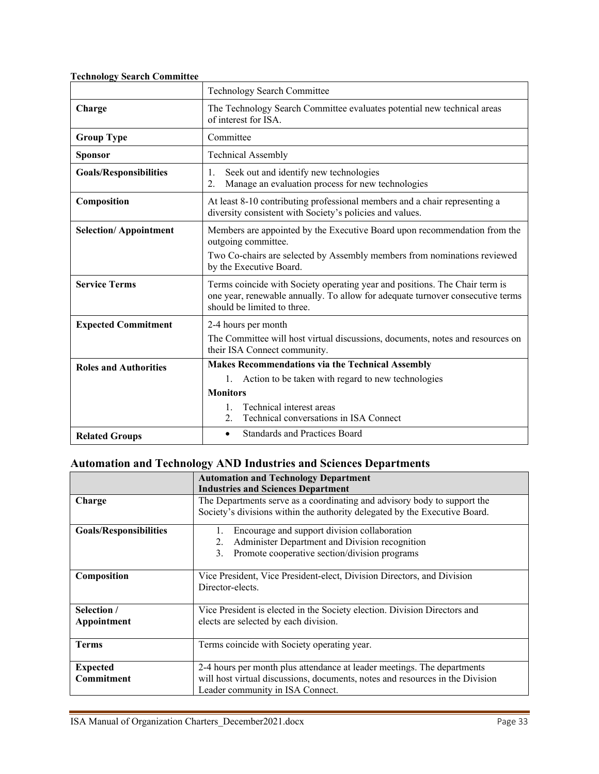<span id="page-32-0"></span>

| <b>Technology Search Committee</b> |  |  |
|------------------------------------|--|--|
|                                    |  |  |

|                               | <b>Technology Search Committee</b>                                                                                                                                                           |  |  |
|-------------------------------|----------------------------------------------------------------------------------------------------------------------------------------------------------------------------------------------|--|--|
| Charge                        | The Technology Search Committee evaluates potential new technical areas<br>of interest for ISA.                                                                                              |  |  |
| <b>Group Type</b>             | Committee                                                                                                                                                                                    |  |  |
| <b>Sponsor</b>                | <b>Technical Assembly</b>                                                                                                                                                                    |  |  |
| <b>Goals/Responsibilities</b> | Seek out and identify new technologies<br>1.<br>Manage an evaluation process for new technologies<br>2.                                                                                      |  |  |
| Composition                   | At least 8-10 contributing professional members and a chair representing a<br>diversity consistent with Society's policies and values.                                                       |  |  |
| <b>Selection/Appointment</b>  | Members are appointed by the Executive Board upon recommendation from the<br>outgoing committee.                                                                                             |  |  |
|                               | Two Co-chairs are selected by Assembly members from nominations reviewed<br>by the Executive Board.                                                                                          |  |  |
| <b>Service Terms</b>          | Terms coincide with Society operating year and positions. The Chair term is<br>one year, renewable annually. To allow for adequate turnover consecutive terms<br>should be limited to three. |  |  |
| <b>Expected Commitment</b>    | 2-4 hours per month                                                                                                                                                                          |  |  |
|                               | The Committee will host virtual discussions, documents, notes and resources on<br>their ISA Connect community.                                                                               |  |  |
| <b>Roles and Authorities</b>  | <b>Makes Recommendations via the Technical Assembly</b>                                                                                                                                      |  |  |
|                               | 1. Action to be taken with regard to new technologies                                                                                                                                        |  |  |
|                               | <b>Monitors</b>                                                                                                                                                                              |  |  |
|                               | Technical interest areas<br>Technical conversations in ISA Connect<br>2.                                                                                                                     |  |  |
| <b>Related Groups</b>         | <b>Standards and Practices Board</b><br>$\bullet$                                                                                                                                            |  |  |

# <span id="page-32-1"></span>**Automation and Technology AND Industries and Sciences Departments**

|                               | <b>Automation and Technology Department</b>                                   |
|-------------------------------|-------------------------------------------------------------------------------|
|                               | <b>Industries and Sciences Department</b>                                     |
| Charge                        | The Departments serve as a coordinating and advisory body to support the      |
|                               | Society's divisions within the authority delegated by the Executive Board.    |
| <b>Goals/Responsibilities</b> | Encourage and support division collaboration<br>1.                            |
|                               | Administer Department and Division recognition<br>2.                          |
|                               | Promote cooperative section/division programs<br>3.                           |
| Composition                   | Vice President, Vice President-elect, Division Directors, and Division        |
|                               | Director-elects.                                                              |
| Selection /                   | Vice President is elected in the Society election. Division Directors and     |
| Appointment                   | elects are selected by each division.                                         |
| <b>Terms</b>                  | Terms coincide with Society operating year.                                   |
| <b>Expected</b>               | 2-4 hours per month plus attendance at leader meetings. The departments       |
| Commitment                    | will host virtual discussions, documents, notes and resources in the Division |
|                               | Leader community in ISA Connect.                                              |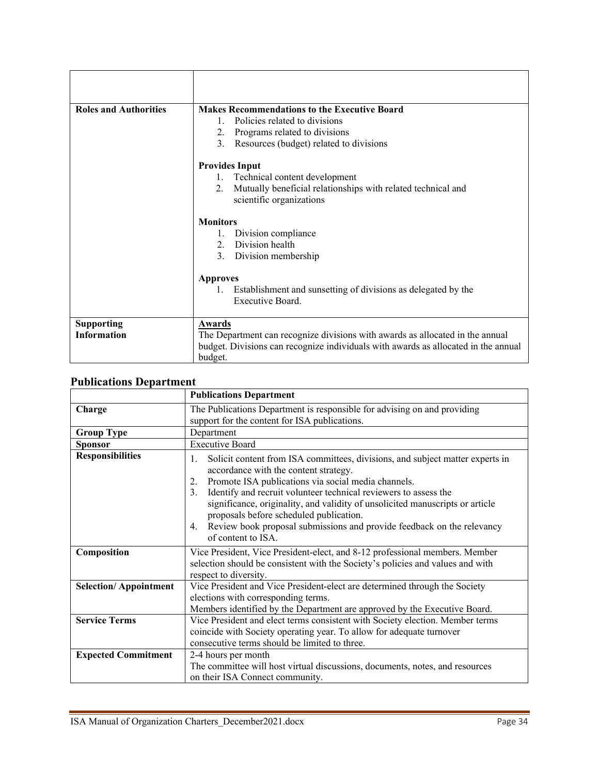| <b>Roles and Authorities</b> | <b>Makes Recommendations to the Executive Board</b>                                |
|------------------------------|------------------------------------------------------------------------------------|
|                              | Policies related to divisions<br>$1_{-}$                                           |
|                              | 2. Programs related to divisions                                                   |
|                              | 3.<br>Resources (budget) related to divisions                                      |
|                              | <b>Provides Input</b>                                                              |
|                              | 1. Technical content development                                                   |
|                              | Mutually beneficial relationships with related technical and<br>2.                 |
|                              | scientific organizations                                                           |
|                              | <b>Monitors</b>                                                                    |
|                              | 1. Division compliance                                                             |
|                              | 2. Division health                                                                 |
|                              | 3. Division membership                                                             |
|                              | <b>Approves</b>                                                                    |
|                              | Establishment and sunsetting of divisions as delegated by the                      |
|                              | Executive Board.                                                                   |
|                              |                                                                                    |
| <b>Supporting</b>            | Awards                                                                             |
| <b>Information</b>           | The Department can recognize divisions with awards as allocated in the annual      |
|                              | budget. Divisions can recognize individuals with awards as allocated in the annual |
|                              | budget.                                                                            |

## <span id="page-33-0"></span>**Publications Department**

|                              | <b>Publications Department</b>                                                                                                                                                                                                                                                                                                                                                                                                                                                                        |
|------------------------------|-------------------------------------------------------------------------------------------------------------------------------------------------------------------------------------------------------------------------------------------------------------------------------------------------------------------------------------------------------------------------------------------------------------------------------------------------------------------------------------------------------|
| Charge                       | The Publications Department is responsible for advising on and providing<br>support for the content for ISA publications.                                                                                                                                                                                                                                                                                                                                                                             |
| <b>Group Type</b>            | Department                                                                                                                                                                                                                                                                                                                                                                                                                                                                                            |
| <b>Sponsor</b>               | <b>Executive Board</b>                                                                                                                                                                                                                                                                                                                                                                                                                                                                                |
| <b>Responsibilities</b>      | Solicit content from ISA committees, divisions, and subject matter experts in<br>1.<br>accordance with the content strategy.<br>Promote ISA publications via social media channels.<br>2.<br>Identify and recruit volunteer technical reviewers to assess the<br>3.<br>significance, originality, and validity of unsolicited manuscripts or article<br>proposals before scheduled publication.<br>Review book proposal submissions and provide feedback on the relevancy<br>4.<br>of content to ISA. |
| Composition                  | Vice President, Vice President-elect, and 8-12 professional members. Member<br>selection should be consistent with the Society's policies and values and with<br>respect to diversity.                                                                                                                                                                                                                                                                                                                |
| <b>Selection/Appointment</b> | Vice President and Vice President-elect are determined through the Society<br>elections with corresponding terms.<br>Members identified by the Department are approved by the Executive Board.                                                                                                                                                                                                                                                                                                        |
| <b>Service Terms</b>         | Vice President and elect terms consistent with Society election. Member terms<br>coincide with Society operating year. To allow for adequate turnover<br>consecutive terms should be limited to three.                                                                                                                                                                                                                                                                                                |
| <b>Expected Commitment</b>   | 2-4 hours per month<br>The committee will host virtual discussions, documents, notes, and resources<br>on their ISA Connect community.                                                                                                                                                                                                                                                                                                                                                                |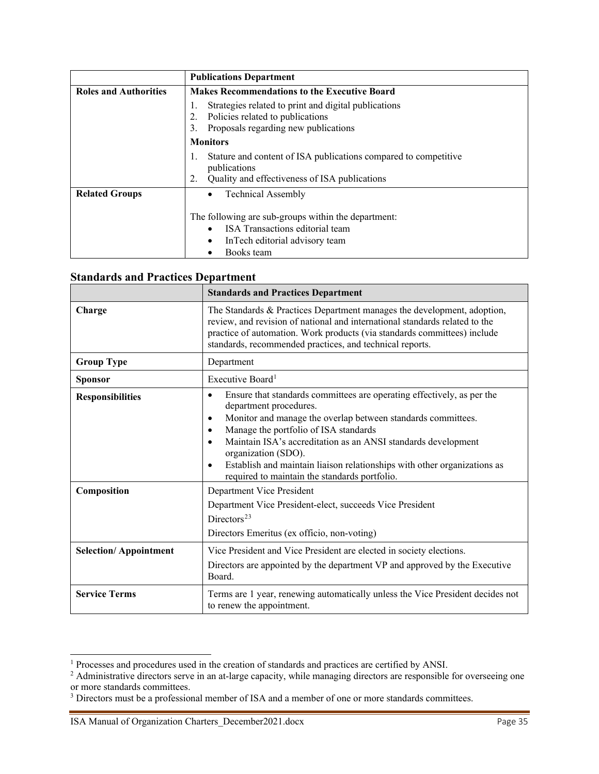|                              | <b>Publications Department</b>                                                                                                         |
|------------------------------|----------------------------------------------------------------------------------------------------------------------------------------|
| <b>Roles and Authorities</b> | <b>Makes Recommendations to the Executive Board</b>                                                                                    |
|                              | Strategies related to print and digital publications<br>Policies related to publications<br>Proposals regarding new publications<br>3. |
|                              | <b>Monitors</b>                                                                                                                        |
|                              | Stature and content of ISA publications compared to competitive<br>publications                                                        |
|                              | Quality and effectiveness of ISA publications<br>2.                                                                                    |
| <b>Related Groups</b>        | <b>Technical Assembly</b>                                                                                                              |
|                              | The following are sub-groups within the department:<br>ISA Transactions editorial team<br>In Tech editorial advisory team              |
|                              | Books team                                                                                                                             |

## <span id="page-34-0"></span>**Standards and Practices Department**

|                              | <b>Standards and Practices Department</b>                                                                                                                                                                                                                                                                                                                                                                                                        |
|------------------------------|--------------------------------------------------------------------------------------------------------------------------------------------------------------------------------------------------------------------------------------------------------------------------------------------------------------------------------------------------------------------------------------------------------------------------------------------------|
| Charge                       | The Standards & Practices Department manages the development, adoption,<br>review, and revision of national and international standards related to the<br>practice of automation. Work products (via standards committees) include<br>standards, recommended practices, and technical reports.                                                                                                                                                   |
| <b>Group Type</b>            | Department                                                                                                                                                                                                                                                                                                                                                                                                                                       |
| <b>Sponsor</b>               | Executive Board <sup>1</sup>                                                                                                                                                                                                                                                                                                                                                                                                                     |
| <b>Responsibilities</b>      | Ensure that standards committees are operating effectively, as per the<br>$\bullet$<br>department procedures.<br>Monitor and manage the overlap between standards committees.<br>٠<br>Manage the portfolio of ISA standards<br>Maintain ISA's accreditation as an ANSI standards development<br>organization (SDO).<br>Establish and maintain liaison relationships with other organizations as<br>required to maintain the standards portfolio. |
| Composition                  | Department Vice President<br>Department Vice President-elect, succeeds Vice President<br>Directors <sup>23</sup><br>Directors Emeritus (ex officio, non-voting)                                                                                                                                                                                                                                                                                  |
| <b>Selection/Appointment</b> | Vice President and Vice President are elected in society elections.<br>Directors are appointed by the department VP and approved by the Executive<br>Board.                                                                                                                                                                                                                                                                                      |
| <b>Service Terms</b>         | Terms are 1 year, renewing automatically unless the Vice President decides not<br>to renew the appointment.                                                                                                                                                                                                                                                                                                                                      |

<span id="page-34-1"></span><sup>&</sup>lt;sup>1</sup> Processes and procedures used in the creation of standards and practices are certified by ANSI.

<span id="page-34-2"></span><sup>&</sup>lt;sup>2</sup> Administrative directors serve in an at-large capacity, while managing directors are responsible for overseeing one or more standards committees.

<span id="page-34-3"></span><sup>&</sup>lt;sup>3</sup> Directors must be a professional member of ISA and a member of one or more standards committees.

ISA Manual of Organization Charters\_December2021.docx Page 35